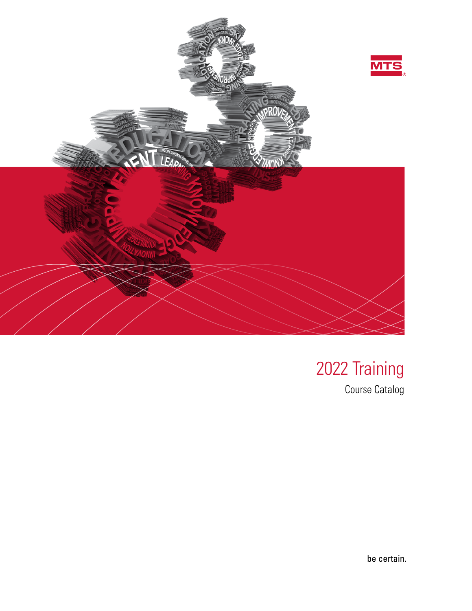

# 2022 Training

Course Catalog

be certain.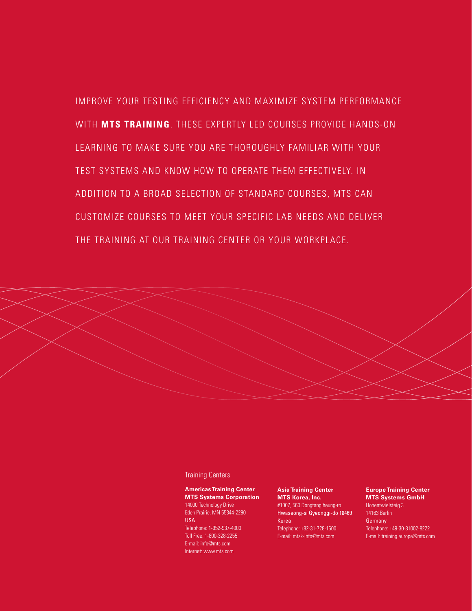IMPROVE YOUR TESTING EFFICIENCY AND MAXIMIZE SYSTEM PERFORMANCE WITH **MTS TRAINING**. THESE EXPERTLY LED COURSES PROVIDE HANDS-ON LEARNING TO MAKE SURE YOU ARE THOROUGHLY FAMILIAR WITH YOUR TEST SYSTEMS AND KNOW HOW TO OPERATE THEM EFFECTIVELY. IN ADDITION TO A BROAD SELECTION OF STANDARD COURSES, MTS CAN CUSTOMIZE COURSES TO MEET YOUR SPECIFIC LAB NEEDS AND DELIVER THE TRAINING AT OUR TRAINING CENTER OR YOUR WORKPLACE.



Training Centers

**Americas Training Center MTS Systems Corporation** 14000 Technology Drive Eden Prairie, MN 55344-2290 USA Telephone: 1-952-937-4000 Toll Free: 1-800-328-2255 E-mail: info@mts.com Internet: www.mts.com

**Asia Training Center MTS Korea, Inc.** #1007, 560 Dongtangiheung-ro Hwaseong-si Gyeonggi-do 18469 Korea Telephone: +82-31-728-1600 E-mail: mtsk-info@mts.com

**Europe Training Center MTS Systems GmbH** Hohentwielsteig 3 14163 Berlin **Germany** Telephone: +49-30-81002-8222 E-mail: training.europe@mts.com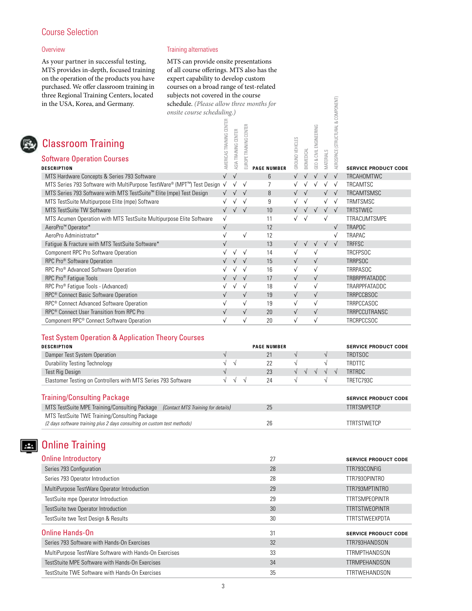# Course Selection

# **Overview**

As your partner in successful testing, MTS provides in-depth, focused training on the operation of the products you have purchased. We offer classroom training in three Regional Training Centers, located in the USA, Korea, and Germany.

# Training alternatives

MTS can provide onsite presentations of all course offerings. MTS also has the expert capability to develop custom courses on a broad range of test-related subjects not covered in the course schedule. *(Please allow three months for onsite course scheduling.)*

| ance regional framing centers, ibeated<br>in the USA, Korea, and Germany.                                                 | $\frac{1}{2}$<br>schedule. (Please allow three months for |                          |                      |                        |                    |                 |            |                         |                    |                                    |                             |
|---------------------------------------------------------------------------------------------------------------------------|-----------------------------------------------------------|--------------------------|----------------------|------------------------|--------------------|-----------------|------------|-------------------------|--------------------|------------------------------------|-----------------------------|
|                                                                                                                           | onsite course scheduling.)                                |                          |                      |                        |                    |                 |            |                         |                    |                                    |                             |
| <b>Classroom Training</b>                                                                                                 |                                                           | AMERICAS TRAINING CENTER | ASIA TRAINING CENTER | EUROPE TRAINING CENTER |                    | GROUND VEHICLES |            | GEO & CIVIL ENGINEERING |                    | AEROSPACE (STRUCTURAL & COMPONENT) |                             |
| <b>Software Operation Courses</b>                                                                                         |                                                           |                          |                      |                        |                    |                 | BIOMEDICAL |                         | MATERIALS          |                                    |                             |
| <b>DESCRIPTION</b>                                                                                                        |                                                           |                          |                      |                        | <b>PAGE NUMBER</b> |                 |            |                         |                    |                                    | <b>SERVICE PRODUCT CODE</b> |
| MTS Hardware Concepts & Series 793 Software                                                                               |                                                           | $\sqrt{ }$               | $\sqrt{ }$           |                        | 6                  | $\sqrt{}$       | $\sqrt{ }$ | $\sqrt{ }$              | $\sqrt{ }$         | $\sqrt{ }$                         | TRCAHOMTWC                  |
| MTS Series 793 Software with MultiPurpose TestWare® (MPT™) Test Design √                                                  |                                                           |                          | $\sqrt{ }$           | $\sqrt{ }$             | $\overline{7}$     |                 |            | $\sqrt{ }$              | $\sqrt{ }$         | $\sqrt{ }$                         | TRCAMTSC                    |
| MTS Series 793 Software with MTS TestSuite <sup>™</sup> Elite (mpe) Test Design                                           |                                                           | $\sqrt{ }$               | $\sqrt{ }$           | $\sqrt{ }$             | 8                  |                 | $\sqrt{ }$ |                         | $\sqrt{}$          | $\sqrt{ }$                         | TRCAMTSMSC                  |
| MTS TestSuite Multipurpose Elite (mpe) Software                                                                           |                                                           | $\sqrt{ }$               | $\sqrt{}$            | $\sqrt{ }$             | 9                  |                 | $\sqrt{ }$ |                         | $\sqrt{}$          | $\sqrt{ }$                         | TRMTSMSC                    |
| MTS TestSuite TW Software                                                                                                 |                                                           | $\sqrt{ }$               | $\sqrt{ }$           |                        | 10                 | $\sqrt{}$       | $\sqrt{ }$ | $\sqrt{ }$              | $\sqrt{ }$         |                                    | <b>TRTSTWEC</b>             |
| MTS Acumen Operation with MTS TestSuite Multipurpose Elite Software                                                       |                                                           | $\sqrt{}$                |                      |                        | 11                 | $\sqrt{ }$      | $\sqrt{ }$ |                         | $\sqrt{ }$         |                                    | TTRACUMTSMPE                |
| AeroPro <sup>™</sup> Operator*                                                                                            |                                                           | $\sqrt{ }$               |                      |                        | 12                 |                 |            |                         |                    | $\sqrt{ }$                         | <b>TRAPOC</b>               |
| AeroPro Administrator*                                                                                                    |                                                           | $\sqrt{}$                |                      | $\sqrt{ }$             | 12                 |                 |            |                         |                    | $\sqrt{ }$                         | TRAPAC                      |
| Fatigue & Fracture with MTS TestSuite Software*                                                                           |                                                           | $\sqrt{ }$               |                      |                        | 13                 | $\sqrt{ }$      | $\sqrt{ }$ | $\sqrt{ }$              | $\sqrt{ }$         | $\sqrt{ }$                         | <b>TRFFSC</b>               |
| <b>Component RPC Pro Software Operation</b>                                                                               |                                                           | $\sqrt{ }$               | $\sqrt{ }$           | $\sqrt{ }$             | 14                 | $\sqrt{}$       |            | $\sqrt{ }$              |                    |                                    | <b>TRCFPSOC</b>             |
| RPC Pro <sup>®</sup> Software Operation                                                                                   |                                                           |                          |                      | $\sqrt{ }$             | 15                 | $\sqrt{ }$      |            | $\sqrt{ }$              |                    |                                    | <b>TRRPSOC</b>              |
| RPC Pro® Advanced Software Operation                                                                                      |                                                           |                          |                      | $\sqrt{ }$             | 16                 | $\sqrt{ }$      |            | $\sqrt{ }$              |                    |                                    | TRRPASOC                    |
| RPC Pro <sup>®</sup> Fatigue Tools                                                                                        |                                                           |                          |                      | $\sqrt{ }$             | 17                 | $\sqrt{ }$      |            | $\sqrt{ }$              |                    |                                    | TRBRPPFATADDC               |
| RPC Pro® Fatigue Tools - (Advanced)                                                                                       |                                                           | $\sqrt{}$                | $\sqrt{ }$           | $\sqrt{ }$             | 18                 | $\sqrt{ }$      |            | $\sqrt{ }$              |                    |                                    | TRARPPFATADDC               |
| RPC <sup>®</sup> Connect Basic Software Operation                                                                         |                                                           | $\sqrt{}$                |                      | $\sqrt{ }$             | 19                 | $\sqrt{ }$      |            | $\sqrt{ }$              |                    |                                    | TRRPCCBSOC                  |
| RPC <sup>®</sup> Connect Advanced Software Operation                                                                      |                                                           | $\sqrt{ }$               |                      | $\sqrt{ }$             | 19                 | $\sqrt{ }$      |            | $\sqrt{ }$              |                    |                                    | TRRPCCASOC                  |
| RPC <sup>®</sup> Connect User Transition from RPC Pro                                                                     |                                                           | $\sqrt{ }$               |                      | $\sqrt{ }$             | 20                 | $\sqrt{ }$      |            | $\sqrt{ }$              |                    |                                    | TRRPCCUTRANSC               |
| Component RPC® Connect Software Operation                                                                                 |                                                           | $\sqrt{ }$               |                      | $\sqrt{ }$             | 20                 | $\sqrt{ }$      |            | $\sqrt{ }$              |                    |                                    | TRCRPCCSOC                  |
| <b>Test System Operation &amp; Application Theory Courses</b>                                                             |                                                           |                          |                      |                        |                    |                 |            |                         |                    |                                    |                             |
| <b>DESCRIPTION</b>                                                                                                        |                                                           |                          |                      |                        | <b>PAGE NUMBER</b> |                 |            |                         |                    |                                    | <b>SERVICE PRODUCT CODE</b> |
| Damper Test System Operation                                                                                              |                                                           | $\sqrt{ }$               |                      |                        | 21                 | $\sqrt{ }$      |            |                         | $\sqrt{}$          |                                    | <b>TRDTSOC</b>              |
| <b>Durability Testing Technology</b>                                                                                      |                                                           | $\sqrt{}$                | $\sqrt{ }$           |                        | 22                 | $\sqrt{ }$      |            |                         | $\sqrt{}$          |                                    | <b>TRDTTC</b>               |
| <b>Test Rig Design</b>                                                                                                    |                                                           |                          |                      |                        | 23                 | $\sqrt{ }$      | $\sqrt{ }$ | $\sqrt{ }$              | $\sqrt{}$          | $\sqrt{ }$                         | TRTRDC                      |
| Elastomer Testing on Controllers with MTS Series 793 Software                                                             |                                                           | $\sqrt{ }$               | $\sqrt{ }$           | $\sqrt{ }$             | 24                 | $\sqrt{ }$      |            |                         | $\sqrt{}$          |                                    | TRETC793C                   |
|                                                                                                                           |                                                           |                          |                      |                        |                    |                 |            |                         |                    |                                    |                             |
| <b>Training/Consulting Package</b>                                                                                        |                                                           |                          |                      |                        |                    |                 |            |                         |                    |                                    | <b>SERVICE PRODUCT CODE</b> |
| MTS TestSuite MPE Training/Consulting Package (Contact MTS Training for details)                                          |                                                           |                          | 25                   |                        |                    |                 |            |                         | <b>TTRTSMPETCP</b> |                                    |                             |
| MTS TestSuite TWE Training/Consulting Package<br>(2 days software training plus 2 days consulting on custom test methods) |                                                           |                          |                      |                        | 26                 |                 |            |                         |                    |                                    | <b>TTRTSTWETCP</b>          |

# Test System Operation & Application Theory Courses

| <b>DESCRIPTION</b>                                            | <b>PAGE NUMBER</b> |            | <b>SERVICE PRODUCT CODE</b> |
|---------------------------------------------------------------|--------------------|------------|-----------------------------|
| Damper Test System Operation                                  | 21                 |            | TRDTSOC                     |
| Durability Testing Technology                                 |                    |            | TRDTTC                      |
| Test Rig Design                                               | 23                 | $\sqrt{ }$ | <b>TRTRDC</b>               |
| Elastomer Testing on Controllers with MTS Series 793 Software | 24                 |            | TRETC793C                   |

| Training/Consulting Package                                                                                               |    | <b>SERVICE PRODUCT CODE</b> |
|---------------------------------------------------------------------------------------------------------------------------|----|-----------------------------|
| MTS TestSuite MPE Training/Consulting Package (Contact MTS Training for details)                                          | 25 | <b>TTRTSMPETCP</b>          |
| MTS TestSuite TWE Training/Consulting Package<br>(2 days software training plus 2 days consulting on custom test methods) | 26 | TTRTSTWETCP                 |

# **Ba** Online Training

| <b>Online Introductory</b>                             | 27 | <b>SERVICE PRODUCT CODE</b> |
|--------------------------------------------------------|----|-----------------------------|
| Series 793 Configuration                               | 28 | TTR793CONFIG                |
| Series 793 Operator Introduction                       | 28 | TTR7930PINTRO               |
| MultiPurpose TestWare Operator Introduction            | 29 | TTR793MPTINTRO              |
| TestSuite mpe Operator Introduction                    | 29 | <b>TTRTSMPEOPINTR</b>       |
| TestSuite twe Operator Introduction                    | 30 | <b>TTRTSTWEOPINTR</b>       |
| TestSuite twe Test Design & Results                    | 30 | <b>TTRTSTWEEXPDTA</b>       |
| Online Hands-On                                        | 31 | <b>SERVICE PRODUCT CODE</b> |
| Series 793 Software with Hands-On Exercises            | 32 | TTR793HANDSON               |
| MultiPurpose TestWare Software with Hands-On Exercises | 33 | <b>TTRMPTHANDSON</b>        |
| TestStuite MPE Software with Hands-On Exercises        | 34 | <b>TTRMPEHANDSON</b>        |
| TestStuite TWE Software with Hands-On Exercises        | 35 | <b>TTRTWEHANDSON</b>        |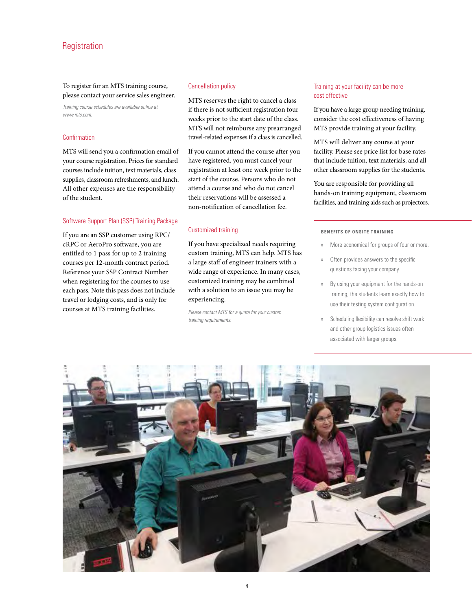# **Registration**

To register for an MTS training course, please contact your service sales engineer.

*Training course schedules are available online at www.mts.com.*

# Confirmation

MTS will send you a confirmation email of your course registration. Prices for standard courses include tuition, text materials, class supplies, classroom refreshments, and lunch. All other expenses are the responsibility of the student.

# Software Support Plan (SSP) Training Package

If you are an SSP customer using RPC/ cRPC or AeroPro software, you are entitled to 1 pass for up to 2 training courses per 12-month contract period. Reference your SSP Contract Number when registering for the courses to use each pass. Note this pass does not include travel or lodging costs, and is only for courses at MTS training facilities.

#### Cancellation policy

MTS reserves the right to cancel a class if there is not sufficient registration four weeks prior to the start date of the class. MTS will not reimburse any prearranged travel-related expenses if a class is cancelled.

If you cannot attend the course after you have registered, you must cancel your registration at least one week prior to the start of the course. Persons who do not attend a course and who do not cancel their reservations will be assessed a non-notification of cancellation fee.

#### Customized training

If you have specialized needs requiring custom training, MTS can help. MTS has a large staff of engineer trainers with a wide range of experience. In many cases, customized training may be combined with a solution to an issue you may be experiencing.

*Please contact MTS for a quote for your custom training requirements.*

# Training at your facility can be more cost effective

If you have a large group needing training, consider the cost effectiveness of having MTS provide training at your facility.

MTS will deliver any course at your facility. Please see price list for base rates that include tuition, text materials, and all other classroom supplies for the students.

You are responsible for providing all hands-on training equipment, classroom facilities, and training aids such as projectors.

#### **BENEFITS OF ONSITE TRAINING**

- » More economical for groups of four or more.
- Often provides answers to the specific questions facing your company.
- By using your equipment for the hands-on training, the students learn exactly how to use their testing system configuration.
- Scheduling flexibility can resolve shift work and other group logistics issues often associated with larger groups.

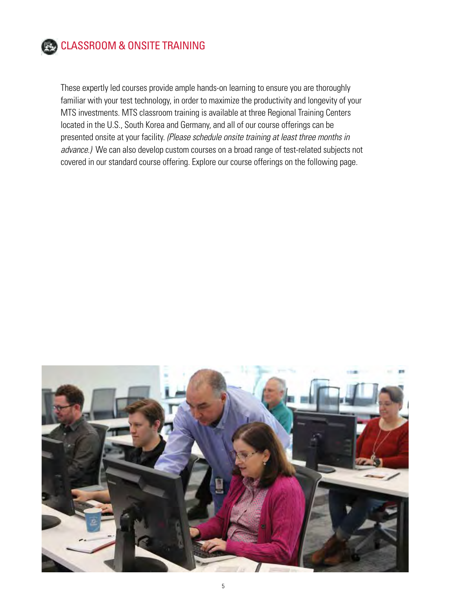

# CLASSROOM & ONSITE TRAINING

These expertly led courses provide ample hands-on learning to ensure you are thoroughly familiar with your test technology, in order to maximize the productivity and longevity of your MTS investments. MTS classroom training is available at three Regional Training Centers located in the U.S., South Korea and Germany, and all of our course offerings can be presented onsite at your facility. *(Please schedule onsite training at least three months in advance.)* We can also develop custom courses on a broad range of test-related subjects not covered in our standard course offering. Explore our course offerings on the following page.

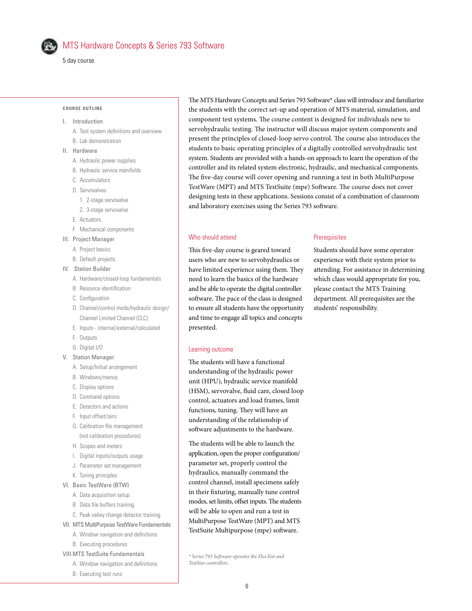

# MTS Hardware Concepts & Series 793 Software

5 day course

#### **COURSE OUTLINE**

#### I. Introduction

- A. Test system definitions and overview
- B. Lab demonstration
- II. Hardware
	- A. Hydraulic power supplies
	- B. Hydraulic service manifolds
	- C. Accumulators
	- D. Servovalves
	- 1. 2-stage servovalve
	- 2. 3-stage servovalve
	- E. Actuators
	- F. Mechanical components
- III. Project Manager
	- A. Project basics
	- B. Default projects
- IV. Station Builder
	- A. Hardware/closed-loop fundamentals
	- B. Resource identification
	- C. Configuration
	- D. Channel/control mode/hydraulic design/ Channel Limited Channel (CLC)
	- E. Inputs internal/external/calculated
	- F. Outputs
	- G. Digital I/O
- V. Station Manager
	- A. Setup/Initial arrangement
	- B. Windows/menus
	- C. Display options
	- D. Command options
	- E. Detectors and actions
	- F. Input offset/zero
	- G. Calibration file management (not calibration procedures)
	- H. Scopes and meters
	- I. Digital inputs/outputs usage
	- J. Parameter set management
	- K. Tuning principles
- VI. Basic TestWare (BTW)
	- A. Data acquisition setup
	- B. Data file buffers training
	- C. Peak valley change detector training
- VII. MTS MultiPurpose TestWare Fundamentals
	- A. Window navigation and definitions
	- B. Executing procedures
- VIII.MTS TestSuite Fundamentals
	- A. Window navigation and definitions
	- B. Executing test runs

The MTS Hardware Concepts and Series 793 Software\* class will introduce and familiarize the students with the correct set-up and operation of MTS material, simulation, and component test systems. The course content is designed for individuals new to servohydraulic testing. The instructor will discuss major system components and present the principles of closed-loop servo control. The course also introduces the students to basic operating principles of a digitally controlled servohydraulic test system. Students are provided with a hands-on approach to learn the operation of the controller and its related system electronic, hydraulic, and mechanical components. The five-day course will cover opening and running a test in both MultiPurpose TestWare (MPT) and MTS TestSuite (mpe) Software. The course does not cover designing tests in these applications. Sessions consist of a combination of classroom and laboratory exercises using the Series 793 software.

# Who should attend

This five-day course is geared toward users who are new to servohydraulics or have limited experience using them. They need to learn the basics of the hardware and be able to operate the digital controller software. The pace of the class is designed to ensure all students have the opportunity and time to engage all topics and concepts presented.

# **Prerequisites**

Students should have some operator experience with their system prior to attending. For assistance in determining which class would appropriate for you, please contact the MTS Training department. All prerequisites are the students' responsibility.

#### Learning outcome

The students will have a functional understanding of the hydraulic power unit (HPU), hydraulic service manifold (HSM), servovalve, fluid care, closed loop control, actuators and load frames, limit functions, tuning. They will have an understanding of the relationship of software adjustments to the hardware.

The students will be able to launch the application, open the proper configuration/ parameter set, properly control the hydraulics, manually command the control channel, install specimens safely in their fixturing, manually tune control modes, set limits, offset inputs. The students will be able to open and run a test in MultiPurpose TestWare (MPT) and MTS TestSuite Multipurpose (mpe) software.

*\* Series 793 Software operates the FlexTest and TestStar controllers.*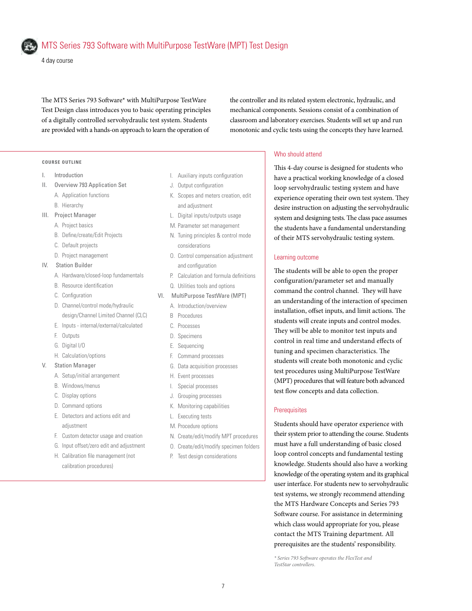4 day course

The MTS Series 793 Software\* with MultiPurpose TestWare Test Design class introduces you to basic operating principles of a digitally controlled servohydraulic test system. Students are provided with a hands-on approach to learn the operation of

the controller and its related system electronic, hydraulic, and mechanical components. Sessions consist of a combination of classroom and laboratory exercises. Students will set up and run monotonic and cyclic tests using the concepts they have learned.

### **COURSE OUTLINE**

- I. Introduction
- II. Overview 793 Application Set A. Application functions
	- B. Hierarchy
- III. Project Manager
	- A. Project basics
	- B. Define/create/Edit Projects
	- C. Default projects
	- D. Project management

# IV. Station Builder

- A. Hardware/closed-loop fundamentals
- B. Resource identification
- C. Configuration
- D. Channel/control mode/hydraulic design/Channel Limited Channel (CLC)
- E. Inputs internal/external/calculated
- F. Outputs
- G. Digital I/O
- H. Calculation/options
- V. Station Manager
	- A. Setup/initial arrangement
	- B. Windows/menus
	- C. Display options
	- D. Command options
	- E. Detectors and actions edit and adjustment
	- F. Custom detector usage and creation
	- G. Input offset/zero edit and adjustment
	- H. Calibration file management (not calibration procedures)
- I. Auxiliary inputs configuration
- J. Output configuration
- K. Scopes and meters creation, edit and adjustment
- L. Digital inputs/outputs usage
- M. Parameter set management
- N. Tuning principles & control mode considerations
- O. Control compensation adjustment and configuration
- P. Calculation and formula definitions
- Q. Utilities tools and options
- VI. MultiPurpose TestWare (MPT)
	- A. Introduction/overview
	- B Procedures
	- C. Processes
	- D. Specimens
	- E. Sequencing
	- F. Command processes
	- G. Data acquisition processes
	- H. Event processes
	- I. Special processes
	- J. Grouping processes
	- K. Monitoring capabilities
	- L. Executing tests
	- M. Procedure options
	- N. Create/edit/modify MPT procedures
	- O. Create/edit/modify specimen folders
	- P. Test design considerations

### Who should attend

This 4-day course is designed for students who have a practical working knowledge of a closed loop servohydraulic testing system and have experience operating their own test system. They desire instruction on adjusting the servohydraulic system and designing tests. The class pace assumes the students have a fundamental understanding of their MTS servohydraulic testing system.

#### Learning outcome

The students will be able to open the proper configuration/parameter set and manually command the control channel. They will have an understanding of the interaction of specimen installation, offset inputs, and limit actions. The students will create inputs and control modes. They will be able to monitor test inputs and control in real time and understand effects of tuning and specimen characteristics. The students will create both monotonic and cyclic test procedures using MultiPurpose TestWare (MPT) procedures that will feature both advanced test flow concepts and data collection.

#### **Prerequisites**

Students should have operator experience with their system prior to attending the course. Students must have a full understanding of basic closed loop control concepts and fundamental testing knowledge. Students should also have a working knowledge of the operating system and its graphical user interface. For students new to servohydraulic test systems, we strongly recommend attending the MTS Hardware Concepts and Series 793 Software course. For assistance in determining which class would appropriate for you, please contact the MTS Training department. All prerequisites are the students' responsibility.

*\* Series 793 Software operates the FlexTest and TestStar controllers.*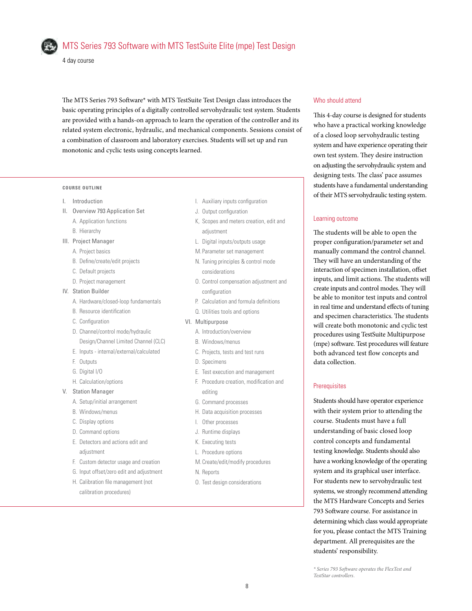

# MTS Series 793 Software with MTS TestSuite Elite (mpe) Test Design

4 day course

The MTS Series 793 Software\* with MTS TestSuite Test Design class introduces the basic operating principles of a digitally controlled servohydraulic test system. Students are provided with a hands-on approach to learn the operation of the controller and its related system electronic, hydraulic, and mechanical components. Sessions consist of a combination of classroom and laboratory exercises. Students will set up and run monotonic and cyclic tests using concepts learned.

### **COURSE OUTLINE**

- I. Introduction
- II. Overview 793 Application Set
- A. Application functions B. Hierarchy
- III. Project Manager
	- A. Project basics
	- B. Define/create/edit projects
	- C. Default projects
	- D. Project management
- IV. Station Builder
	- A. Hardware/closed-loop fundamentals
	- B. Resource identification
	- C. Configuration
	- D. Channel/control mode/hydraulic Design/Channel Limited Channel (CLC)
	- E. Inputs internal/external/calculated
	- F. Outputs
	- G. Digital I/O
	- H. Calculation/options
- V. Station Manager
	- A. Setup/initial arrangement
	- B. Windows/menus
	- C. Display options
	- D. Command options
	- E. Detectors and actions edit and adjustment
	- F. Custom detector usage and creation
	- G. Input offset/zero edit and adjustment
	- H. Calibration file management (not calibration procedures)
- I. Auxiliary inputs configuration
- J. Output configuration
- K, Scopes and meters creation, edit and adjustment
- L. Digital inputs/outputs usage
- M. Parameter set management
- N. Tuning principles & control mode considerations
- O. Control compensation adjustment and configuration
- P. Calculation and formula definitions
- Q. Utilities tools and options
- VI. Multipurpose
	- A. Introduction/overview
	- B. Windows/menus
	- C. Projects, tests and test runs
	- D. Specimens
	- E. Test execution and management
	- F. Procedure creation, modification and editing
	- G. Command processes
	- H. Data acquisition processes
	- I. Other processes
	- J. Runtime displays
	- K. Executing tests
	- L. Procedure options
	- M. Create/edit/modify procedures
	- N. Reports
	- O. Test design considerations

# Who should attend

This 4-day course is designed for students who have a practical working knowledge of a closed loop servohydraulic testing system and have experience operating their own test system. They desire instruction on adjusting the servohydraulic system and designing tests. The class' pace assumes students have a fundamental understanding of their MTS servohydraulic testing system.

### Learning outcome

The students will be able to open the proper configuration/parameter set and manually command the control channel. They will have an understanding of the interaction of specimen installation, offset inputs, and limit actions. The students will create inputs and control modes. They will be able to monitor test inputs and control in real time and understand effects of tuning and specimen characteristics. The students will create both monotonic and cyclic test procedures using TestSuite Multipurpose (mpe) software. Test procedures will feature both advanced test flow concepts and data collection.

# **Prerequisites**

Students should have operator experience with their system prior to attending the course. Students must have a full understanding of basic closed loop control concepts and fundamental testing knowledge. Students should also have a working knowledge of the operating system and its graphical user interface. For students new to servohydraulic test systems, we strongly recommend attending the MTS Hardware Concepts and Series 793 Software course. For assistance in determining which class would appropriate for you, please contact the MTS Training department. All prerequisites are the students' responsibility.

*\* Series 793 Software operates the FlexTest and TestStar controllers.*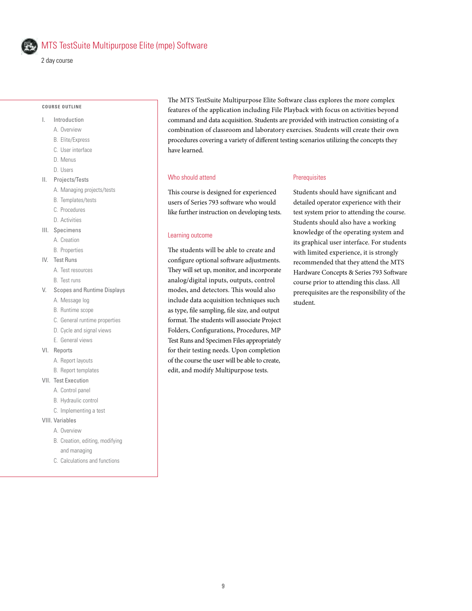

# MTS TestSuite Multipurpose Elite (mpe) Software

2 day course

#### **COURSE OUTLINE**

- I. Introduction
	- A. Overview
	- B. Elite/Express
	- C. User interface
	- D. Menus
	- D. Users
- II. Projects/Tests
	- A. Managing projects/tests
	- B. Templates/tests
	- C. Procedures
	- D. Activities
- III. Specimens
	- A. Creation
	- B. Properties
- IV. Test Runs
	- A. Test resources
	- B. Test runs
- V. Scopes and Runtime Displays
	- A. Message log
	- B. Runtime scope
	- C. General runtime properties
	- D. Cycle and signal views
	- E. General views
- VI. Reports
	- A. Report layouts
	- B. Report templates
- VII. Test Execution
	- A. Control panel
	- B. Hydraulic control
	- C. Implementing a test
- VIII. Variables
	- A. Overview
	- B. Creation, editing, modifying and managing
	- C. Calculations and functions

The MTS TestSuite Multipurpose Elite Software class explores the more complex features of the application including File Playback with focus on activities beyond command and data acquisition. Students are provided with instruction consisting of a combination of classroom and laboratory exercises. Students will create their own procedures covering a variety of different testing scenarios utilizing the concepts they have learned.

### Who should attend

This course is designed for experienced users of Series 793 software who would like further instruction on developing tests.

#### Learning outcome

The students will be able to create and configure optional software adjustments. They will set up, monitor, and incorporate analog/digital inputs, outputs, control modes, and detectors. This would also include data acquisition techniques such as type, file sampling, file size, and output format. The students will associate Project Folders, Configurations, Procedures, MP Test Runs and Specimen Files appropriately for their testing needs. Upon completion of the course the user will be able to create, edit, and modify Multipurpose tests.

#### **Prerequisites**

Students should have significant and detailed operator experience with their test system prior to attending the course. Students should also have a working knowledge of the operating system and its graphical user interface. For students with limited experience, it is strongly recommended that they attend the MTS Hardware Concepts & Series 793 Software course prior to attending this class. All prerequisites are the responsibility of the student.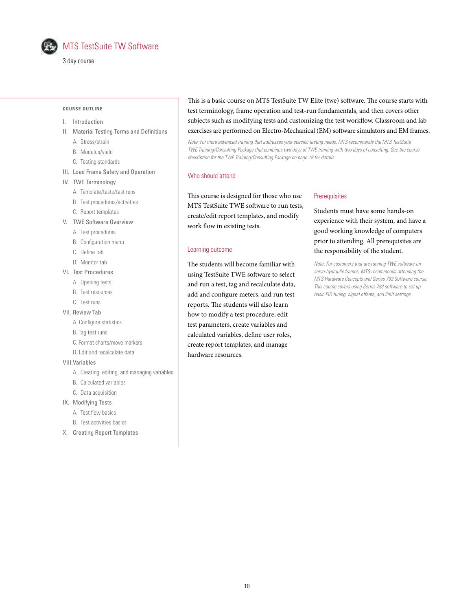

3 day course

#### **COURSE OUTLINE**

#### I. Introduction

- II. Material Testing Terms and Definitions
	- A. Stress/strain
	- B. Modulus/yield
	- C. Testing standards
- III. Load Frame Safety and Operation
- IV. TWE Terminology
	- A. Template/tests/test runs
	- B. Test procedures/activities
	- C. Report templates
- V. TWE Software Overview
	- A. Test procedures
	- B. Configuration menu
	- C. Define tab
	- D. Monitor tab
- VI. Test Procedures
	- A. Opening tests
	- B. Test resources
	- C. Test runs
- VII. Review Tab
	- A. Configure statistics
	- B. Tag test runs
	- C. Format charts/move markers
	- D. Edit and recalculate data
- VIII.Variables
	- A. Creating, editing, and managing variables
	- B. Calculated variables
	- C. Data acquisition
- IX. Modifying Tests
	- A. Test flow basics
	- B. Test activities basics
- X. Creating Report Templates

This is a basic course on MTS TestSuite TW Elite (twe) software. The course starts with test terminology, frame operation and test-run fundamentals, and then covers other subjects such as modifying tests and customizing the test workflow. Classroom and lab exercises are performed on Electro-Mechanical (EM) software simulators and EM frames.

*Note: For more advanced training that addresses your specific testing needs, MTS recommends the MTS TestSuite TWE Training/Consulting Package that combines two days of TWE training with two days of consulting. See the course description for the TWE Training/Consulting Package on page 19 for details.*

### Who should attend

This course is designed for those who use MTS TestSuite TWE software to run tests, create/edit report templates, and modify work flow in existing tests.

### Learning outcome

The students will become familiar with using TestSuite TWE software to select and run a test, tag and recalculate data, add and configure meters, and run test reports. The students will also learn how to modify a test procedure, edit test parameters, create variables and calculated variables, define user roles, create report templates, and manage hardware resources.

#### **Prerequisites**

Students must have some hands-on experience with their system, and have a good working knowledge of computers prior to attending. All prerequisites are the responsibility of the student.

*Note: For customers that are running TWE software on servo-hydraulic frames, MTS recommends attending the MTS Hardware Concepts and Series 793 Software course. This course covers using Series 793 software to set up basic PID tuning, signal offsets, and limit settings.*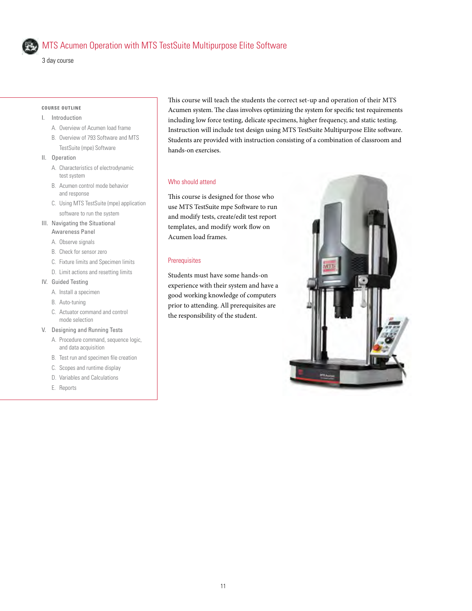

# MTS Acumen Operation with MTS TestSuite Multipurpose Elite Software

3 day course

# **COURSE OUTLINE**

- I. Introduction
	- A. Overview of Acumen load frame
	- B. Overview of 793 Software and MTS TestSuite (mpe) Software
- II. Operation
	- A. Characteristics of electrodynamic test system
	- B. Acumen control mode behavior and response
	- C. Using MTS TestSuite (mpe) application software to run the system
- III. Navigating the Situational Awareness Panel
	- A. Observe signals
	- B. Check for sensor zero
	- C. Fixture limits and Specimen limits
	- D. Limit actions and resetting limits
- IV. Guided Testing
	- A. Install a specimen
	- B. Auto-tuning
	- C. Actuator command and control mode selection
- V. Designing and Running Tests
	- A. Procedure command, sequence logic, and data acquisition
	- B. Test run and specimen file creation
	- C. Scopes and runtime display
	- D. Variables and Calculations
	- E. Reports

This course will teach the students the correct set-up and operation of their MTS Acumen system. The class involves optimizing the system for specific test requirements including low force testing, delicate specimens, higher frequency, and static testing. Instruction will include test design using MTS TestSuite Multipurpose Elite software. Students are provided with instruction consisting of a combination of classroom and hands-on exercises.

# Who should attend

This course is designed for those who use MTS TestSuite mpe Software to run and modify tests, create/edit test report templates, and modify work flow on Acumen load frames.

# **Prerequisites**

Students must have some hands-on experience with their system and have a good working knowledge of computers prior to attending. All prerequisites are the responsibility of the student.

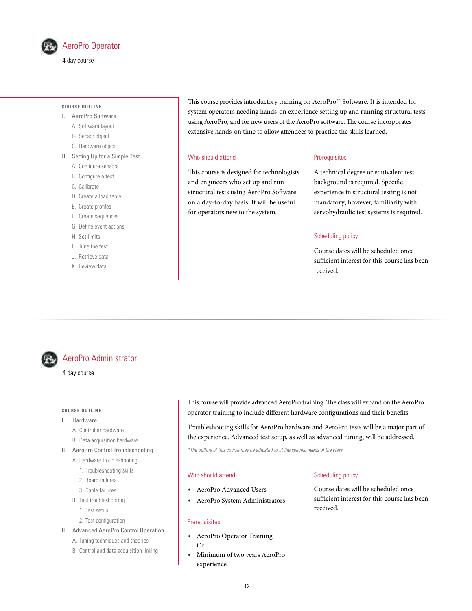

# **COURSE OUTLINE**

- I. AeroPro Software
	- A. Software layout
	- B. Sensor object
	- C. Hardware object
- II. Setting Up for a Simple Test
	- A. Configure sensors
	- B. Configure a test
	- C. Calibrate
	- D. Create a load table
	- E. Create profiles
	- F. Create sequences
	- G. Define event actions
	- H. Set limits
	- I. Tune the test
	- J. Retrieve data
	- K. Review data

This course provides introductory training on AeroPro™ Software. It is intended for system operators needing hands-on experience setting up and running structural tests using AeroPro, and for new users of the AeroPro software. The course incorporates extensive hands-on time to allow attendees to practice the skills learned.

# Who should attend

This course is designed for technologists and engineers who set up and run structural tests using AeroPro Software on a day-to-day basis. It will be useful for operators new to the system.

# **Prerequisites**

A technical degree or equivalent test background is required. Specific experience in structural testing is not mandatory; however, familiarity with servohydraulic test systems is required.

#### Scheduling policy

Course dates will be scheduled once sufficient interest for this course has been received.



# AeroPro Administrator

#### 4 day course

#### **COURSE OUTLINE**

- I. Hardware
	- A. Controller hardware
	- B. Data acquisition hardware
- II. AeroPro Control Troubleshooting
	- A. Hardware troubleshooting
	- 1. Troubleshooting skills
	- 2. Board failures
	- 3. Cable failures
	- B. Test troubleshooting
		- 1. Test setup
		- 2. Test configuration
- III. Advanced AeroPro Control Operation
	- A. Tuning techniques and theories
	- B Control and data acquisition linking

This course will provide advanced AeroPro training. The class will expand on the AeroPro operator training to include different hardware configurations and their benefits.

Troubleshooting skills for AeroPro hardware and AeroPro tests will be a major part of the experience. Advanced test setup, as well as advanced tuning, will be addressed.

*\*The outline of this course may be adjusted to fit the specific needs of the class*

# Who should attend

- » AeroPro Advanced Users
- » AeroPro System Administrators

#### **Prerequisites**

- » AeroPro Operator Training
	- Or
- » Minimum of two years AeroPro experience

# Scheduling policy

Course dates will be scheduled once sufficient interest for this course has been received.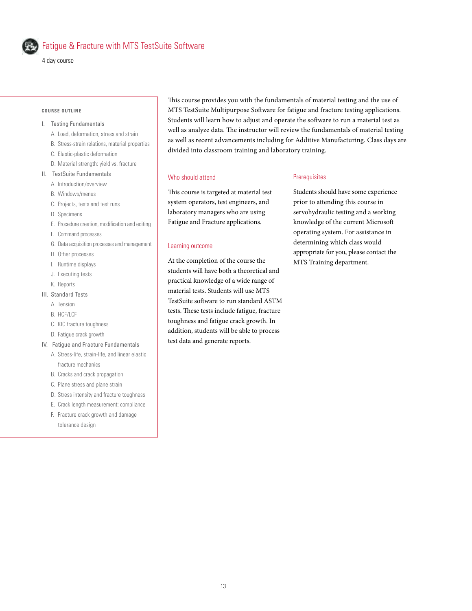

# Fatigue & Fracture with MTS TestSuite Software

#### **COURSE OUTLINE**

- I. Testing Fundamentals
	- A. Load, deformation, stress and strain
	- B. Stress-strain relations, material properties
	- C. Elastic-plastic deformation
	- D. Material strength: yield vs. fracture
- II. TestSuite Fundamentals
	- A. Introduction/overview
	- B. Windows/menus
	- C. Projects, tests and test runs
	- D. Specimens
	- E. Procedure creation, modification and editing
	- F. Command processes
	- G. Data acquisition processes and management
	- H. Other processes
	- I. Runtime displays
	- J. Executing tests
	- K. Reports

#### III. Standard Tests

- A. Tension
- B. HCF/LCF
- C. KIC fracture toughness
- D. Fatigue crack growth
- IV. Fatigue and Fracture Fundamentals
	- A. Stress-life, strain-life, and linear elastic fracture mechanics
	- B. Cracks and crack propagation
	- C. Plane stress and plane strain
	- D. Stress intensity and fracture toughness
	- E. Crack length measurement: compliance
	- F. Fracture crack growth and damage tolerance design

This course provides you with the fundamentals of material testing and the use of MTS TestSuite Multipurpose Software for fatigue and fracture testing applications. Students will learn how to adjust and operate the software to run a material test as well as analyze data. The instructor will review the fundamentals of material testing as well as recent advancements including for Additive Manufacturing. Class days are divided into classroom training and laboratory training.

### Who should attend

This course is targeted at material test system operators, test engineers, and laboratory managers who are using Fatigue and Fracture applications.

#### Learning outcome

At the completion of the course the students will have both a theoretical and practical knowledge of a wide range of material tests. Students will use MTS TestSuite software to run standard ASTM tests. These tests include fatigue, fracture toughness and fatigue crack growth. In addition, students will be able to process test data and generate reports.

#### **Prerequisites**

Students should have some experience prior to attending this course in servohydraulic testing and a working knowledge of the current Microsoft operating system. For assistance in determining which class would appropriate for you, please contact the MTS Training department.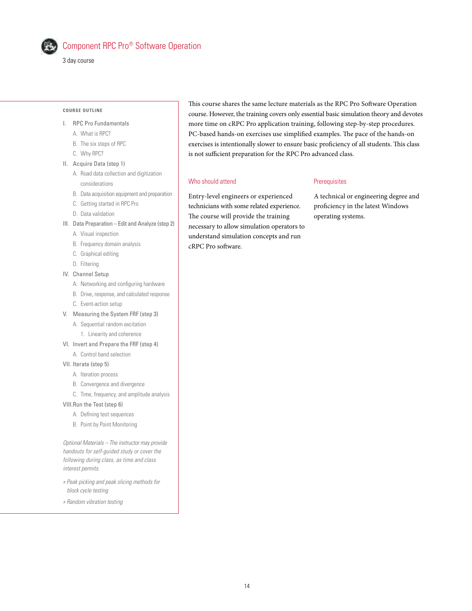

# Component RPC Pro® Software Operation

3 day course

#### **COURSE OUTLINE**

- I. RPC Pro Fundamentals
	- A. What is RPC?
	- B. The six steps of RPC
	- C. Why RPC?
- II. Acquire Data (step 1)
	- A. Road data collection and digitization considerations
	- B. Data acquisition equipment and preparation
	- C. Getting started in RPC Pro
	- D. Data validation
- III. Data Preparation Edit and Analyze (step 2)
	- A. Visual inspection
	- B. Frequency domain analysis
	- C. Graphical editing
	- D. Filtering
- IV. Channel Setup
	- A. Networking and configuring hardware
	- B. Drive, response, and calculated response
	- C. Event-action setup
- V. Measuring the System FRF (step 3)
	- A. Sequential random excitation 1. Linearity and coherence
- VI. Invert and Prepare the FRF (step 4)
	- A. Control band selection
- VII. Iterate (step 5)
	- A. Iteration process
	- B. Convergence and divergence
	- C. Time, frequency, and amplitude analysis
- VIII.Run the Test (step 6)
	- A. Defining test sequences
	- B. Point by Point Monitoring

*Optional Materials – The instructor may provide handouts for self-guided study or cover the following during class, as time and class interest permits.*

- *» Peak picking and peak slicing methods for block cycle testing*
- *» Random vibration testing*

This course shares the same lecture materials as the RPC Pro Software Operation course. However, the training covers only essential basic simulation theory and devotes more time on cRPC Pro application training, following step-by-step procedures. PC-based hands-on exercises use simplified examples. The pace of the hands-on exercises is intentionally slower to ensure basic proficiency of all students. This class is not sufficient preparation for the RPC Pro advanced class.

#### Who should attend

# **Prerequisites**

Entry-level engineers or experienced technicians with some related experience. The course will provide the training necessary to allow simulation operators to understand simulation concepts and run cRPC Pro software.

A technical or engineering degree and proficiency in the latest Windows operating systems.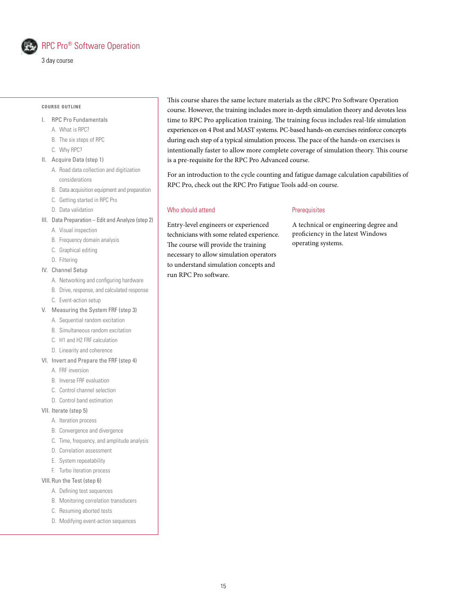

# RPC Pro® Software Operation

3 day course

#### **COURSE OUTLINE**

- I. RPC Pro Fundamentals
	- A. What is RPC?
	- B. The six steps of RPC
	- C. Why RPC?
- II. Acquire Data (step 1)
	- A. Road data collection and digitization
		- considerations
		- B. Data acquisition equipment and preparation
		- C. Getting started in RPC Pro
		- D. Data validation
- III. Data Preparation Edit and Analyze (step 2)
	- A. Visual inspection
	- B. Frequency domain analysis
	- C. Graphical editing
	- D. Filtering

### IV. Channel Setup

- A. Networking and configuring hardware
- B. Drive, response, and calculated response
- C. Event-action setup
- V. Measuring the System FRF (step 3)
	- A. Sequential random excitation
	- B. Simultaneous random excitation
	- C. H1 and H2 FRF calculation
	- D. Linearity and coherence
- VI. Invert and Prepare the FRF (step 4)
	- A. FRF inversion
	- B. Inverse FRF evaluation
	- C. Control channel selection
	- D. Control band estimation
- VII. Iterate (step 5)
	- A. Iteration process
	- B. Convergence and divergence
	- C. Time, frequency, and amplitude analysis
	- D. Correlation assessment
	- E. System repeatability
	- F. Turbo iteration process

# VIII.Run the Test (step 6)

- A. Defining test sequences
- B. Monitoring correlation transducers
- C. Resuming aborted tests
- D. Modifying event-action sequences

This course shares the same lecture materials as the cRPC Pro Software Operation course. However, the training includes more in-depth simulation theory and devotes less time to RPC Pro application training. The training focus includes real-life simulation experiences on 4 Post and MAST systems. PC-based hands-on exercises reinforce concepts during each step of a typical simulation process. The pace of the hands-on exercises is intentionally faster to allow more complete coverage of simulation theory. This course is a pre-requisite for the RPC Pro Advanced course.

For an introduction to the cycle counting and fatigue damage calculation capabilities of RPC Pro, check out the RPC Pro Fatigue Tools add-on course.

#### Who should attend

Entry-level engineers or experienced technicians with some related experience. The course will provide the training necessary to allow simulation operators to understand simulation concepts and run RPC Pro software.

### **Prerequisites**

A technical or engineering degree and proficiency in the latest Windows operating systems.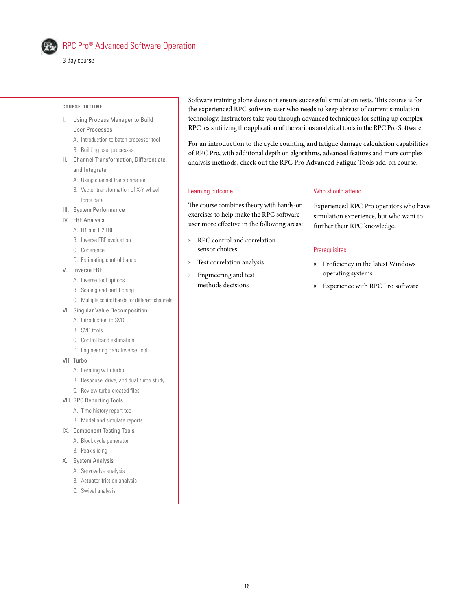

# RPC Pro® Advanced Software Operation

3 day course

#### **COURSE OUTLINE**

- I. Using Process Manager to Build User Processes
	- A. Introduction to batch processor tool
	- B. Building user processes
- II. Channel Transformation, Differentiate, and Integrate
	- A. Using channel transformation
	- B. Vector transformation of X-Y wheel force data
- III. System Performance
- IV. FRF Analysis
	- A. H1 and H2 FRF
	- B. Inverse FRF evaluation
	- C. Coherence
	- D. Estimating control bands
- V. Inverse FRF
	- A. Inverse tool options
	- B. Scaling and partitioning
	- C. Multiple control bands for different channels
- VI. Singular Value Decomposition
	- A. Introduction to SVD
	- B. SVD tools
	- C. Control band estimation
	- D. Engineering Rank Inverse Tool
- VII. Turbo
	- A. Iterating with turbo
	- B. Response, drive, and dual turbo study
	- C. Review turbo-created files
- VIII. RPC Reporting Tools
	- A. Time history report tool
	- B. Model and simulate reports
- IX. Component Testing Tools
	- A. Block cycle generator
	- B. Peak slicing
- -
	-
	-

Software training alone does not ensure successful simulation tests. This course is for the experienced RPC software user who needs to keep abreast of current simulation technology. Instructors take you through advanced techniques for setting up complex RPC tests utilizing the application of the various analytical tools in the RPC Pro Software.

For an introduction to the cycle counting and fatigue damage calculation capabilities of RPC Pro, with additional depth on algorithms, advanced features and more complex analysis methods, check out the RPC Pro Advanced Fatigue Tools add-on course.

#### Learning outcome

The course combines theory with hands-on exercises to help make the RPC software user more effective in the following areas:

- » RPC control and correlation sensor choices
- » Test correlation analysis
- » Engineering and test methods decisions

# Who should attend

Experienced RPC Pro operators who have simulation experience, but who want to further their RPC knowledge.

### **Prerequisites**

- » Proficiency in the latest Windows operating systems
- » Experience with RPC Pro software

- 
- 
- X. System Analysis
	- A. Servovalve analysis
	- B. Actuator friction analysis
	- C. Swivel analysis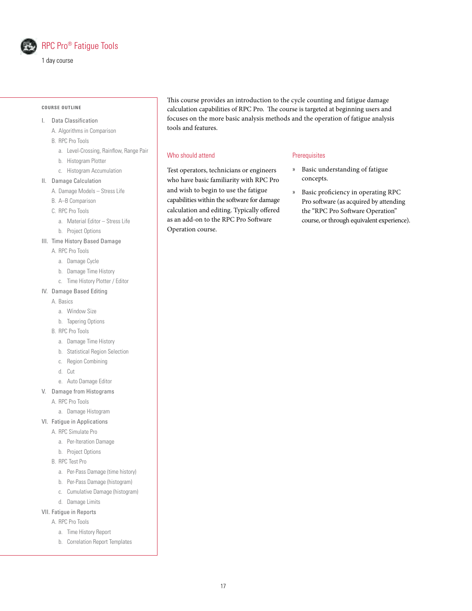

# RPC Pro® Fatigue Tools

1 day course

#### **COURSE OUTLINE**

- I. Data Classification
	- A. Algorithms in Comparison
	- B. RPC Pro Tools
		- a. Level-Crossing, Rainflow, Range Pair
		- b. Histogram Plotter
		- c. Histogram Accumulation
- II. Damage Calculation
	- A. Damage Models Stress Life
	- B. A–B Comparison
	- C. RPC Pro Tools
		- a. Material Editor Stress Life
		- b. Project Options
- III. Time History Based Damage
	- A. RPC Pro Tools
		- a. Damage Cycle
		- b. Damage Time History
		- c. Time History Plotter / Editor
- IV. Damage Based Editing
	- A. Basics
		- a. Window Size
		- b. Tapering Options
	- B. RPC Pro Tools
		- a. Damage Time History
		- b. Statistical Region Selection
		- c. Region Combining
		- d. Cut
	- e. Auto Damage Editor
- V. Damage from Histograms
	- A. RPC Pro Tools
		- a. Damage Histogram
- VI. Fatigue in Applications
	- A. RPC Simulate Pro
		- a. Per-Iteration Damage
		- b. Project Options
	- B. RPC Test Pro
		- a. Per-Pass Damage (time history)
		- b. Per-Pass Damage (histogram)
		- c. Cumulative Damage (histogram)
		- d. Damage Limits
- VII. Fatigue in Reports
	- A. RPC Pro Tools
		- a. Time History Report
		- b. Correlation Report Templates

This course provides an introduction to the cycle counting and fatigue damage calculation capabilities of RPC Pro. The course is targeted at beginning users and focuses on the more basic analysis methods and the operation of fatigue analysis tools and features.

### Who should attend

Test operators, technicians or engineers who have basic familiarity with RPC Pro and wish to begin to use the fatigue capabilities within the software for damage calculation and editing. Typically offered as an add-on to the RPC Pro Software Operation course.

### **Prerequisites**

- » Basic understanding of fatigue concepts.
- » Basic proficiency in operating RPC Pro software (as acquired by attending the "RPC Pro Software Operation" course, or through equivalent experience).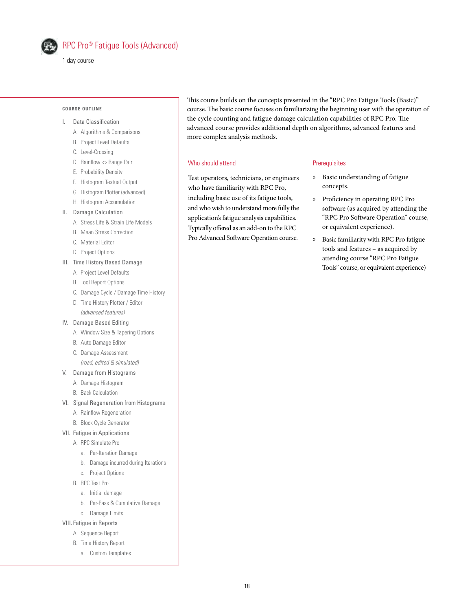

1 day course

#### **COURSE OUTLINE**

- I. Data Classification
	- A. Algorithms & Comparisons
	- B. Project Level Defaults
	- C. Level-Crossing
	- D. Rainflow  $\Diamond$  Range Pair
	- E. Probability Density
	- F. Histogram Textual Output
	- G. Histogram Plotter (advanced)
	- H. Histogram Accumulation
- II. Damage Calculation
	- A. Stress Life & Strain Life Models
	- B. Mean Stress Correction
	- C. Material Editor
	- D. Project Options
- III. Time History Based Damage
	- A. Project Level Defaults
	- B. Tool Report Options
	- C. Damage Cycle / Damage Time History
	- D. Time History Plotter / Editor *(advanced features)*
- IV. Damage Based Editing
	- A. Window Size & Tapering Options
	- B. Auto Damage Editor
	- C. Damage Assessment
		- *(road, edited & simulated)*
- V. Damage from Histograms
	- A. Damage Histogram
	- B. Back Calculation
- VI. Signal Regeneration from Histograms
	- A. Rainflow Regeneration
	- B. Block Cycle Generator
- VII. Fatigue in Applications
	- A. RPC Simulate Pro
		- a. Per-Iteration Damage
		- b. Damage incurred during Iterations
		- c. Project Options
		- B. RPC Test Pro
		- a. Initial damage
		- b. Per-Pass & Cumulative Damage
		- c. Damage Limits
- VIII. Fatigue in Reports
	- A. Sequence Report
	- B. Time History Report
		- a. Custom Templates

This course builds on the concepts presented in the "RPC Pro Fatigue Tools (Basic)" course. The basic course focuses on familiarizing the beginning user with the operation of the cycle counting and fatigue damage calculation capabilities of RPC Pro. The advanced course provides additional depth on algorithms, advanced features and more complex analysis methods.

### Who should attend

Test operators, technicians, or engineers who have familiarity with RPC Pro, including basic use of its fatigue tools, and who wish to understand more fully the application's fatigue analysis capabilities. Typically offered as an add-on to the RPC Pro Advanced Software Operation course.

### **Prerequisites**

- » Basic understanding of fatigue concepts.
- » Proficiency in operating RPC Pro software (as acquired by attending the "RPC Pro Software Operation" course, or equivalent experience).
- » Basic familiarity with RPC Pro fatigue tools and features – as acquired by attending course "RPC Pro Fatigue Tools" course, or equivalent experience)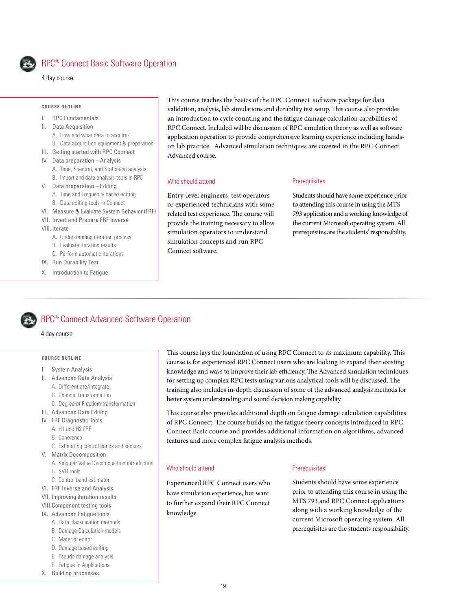

# RPC® Connect Basic Software Operation

#### **COURSE OUTLINE**

- I. RPC Fundamentals
- II. Data Acquisition
	- A. How and what data to acquire?
- B. Data acquisition equipment & preparation III. Getting started with RPC Connect
- 
- IV. Data preparation Analysis
	- A. Time, Spectral, and Statistical analysis B. Import and data analysis tools in RPC
- V. Data preparation Editing
- 
- A. Time and Frequency based editing B. Data editing tools in Connect
- VI. Measure & Evaluate System Behavior (FRF)
- VII. Invert and Prepare FRF Inverse
- VIII. Iterate
	- A. Understanding iteration process
	- B. Evaluate iteration results
	- C. Perform automatic iterations
- IX. Run Durability Test
- X. Introduction to Fatigue

This course teaches the basics of the RPC Connect software package for data validation, analysis, lab simulations and durability test setup. This course also provides an introduction to cycle counting and the fatigue damage calculation capabilities of RPC Connect. Included will be discussion of RPC simulation theory as well as software application operation to provide comprehensive learning experience including handson lab practice. Advanced simulation techniques are covered in the RPC Connect Advanced course.

#### Who should attend

Entry-level engineers, test operators or experienced technicians with some related test experience. The course will provide the training necessary to allow simulation operators to understand simulation concepts and run RPC Connect software.

### **Prerequisites**

Students should have some experience prior to attending this course in using the MTS 793 application and a working knowledge of the current Microsoft operating system. All prerequisites are the students' responsibility.

# RPC® Connect Advanced Software Operation

4 day course

#### **COURSE OUTLINE**

- I. System Analysis
- II. Advanced Data Analysis
	- A. Differentiate/integrate
	- B. Channel transformation
	- C. Degree of Freedom transformation
- III. Advanced Data Editing
- IV. FRF Diagnostic Tools
	- A. H1 and H2 FRF
	- B. Coherence
	- C. Estimating control bands and sensors
- V. Matrix Decomposition
	- A. Singular Value Decomposition introduction
	- B. SVD tools
	- C. Control band estimator
- VI. FRF Inverse and Analysis
- VII. Improving iteration results
- VIII.Component testing tools
- IX. Advanced Fatigue tools
	- A. Data classification methods
	- B. Damage Calculation models
	- C. Material editor
	- D. Damage based editing
	- E. Pseudo damage analysis
	- F. Fatigue in Applications
- X. Building processes

This course lays the foundation of using RPC Connect to its maximum capability. This course is for experienced RPC Connect users who are looking to expand their existing knowledge and ways to improve their lab efficiency. The Advanced simulation techniques for setting up complex RPC tests using various analytical tools will be discussed. The training also includes in-depth discussion of some of the advanced analysis methods for better system understanding and sound decision making capability.

This course also provides additional depth on fatigue damage calculation capabilities of RPC Connect. The course builds on the fatigue theory concepts introduced in RPC Connect Basic course and provides additional information on algorithms, advanced features and more complex fatigue analysis methods.

#### Who should attend

### **Prerequisites**

Experienced RPC Connect users who have simulation experience, but want to further expand their RPC Connect knowledge.

Students should have some experience prior to attending this course in using the MTS 793 and RPC Connect applications along with a working knowledge of the current Microsoft operating system. All prerequisites are the students responsibility.

<sup>4</sup> day course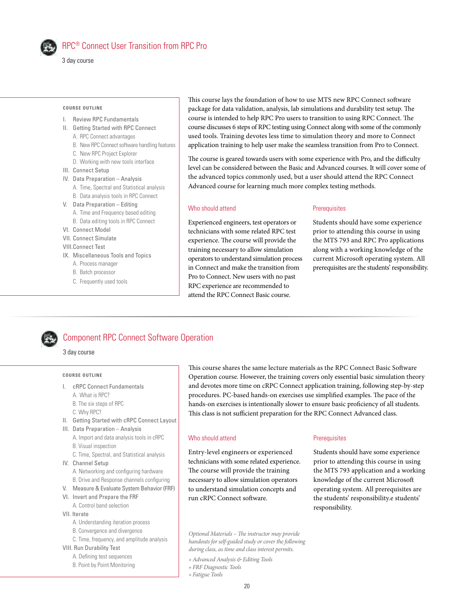

# RPC® Connect User Transition from RPC Pro

3 day course

#### **COURSE OUTLINE**

- I. Review RPC Fundamentals
- II. Getting Started with RPC Connect
	- A. RPC Connect advantages
	- B. New RPC Connect software handling features
	- C. New RPC Project Explorer
	- D. Working with new tools interface
- III. Connect Setup
- IV. Data Preparation Analysis
	- A. Time, Spectral and Statistical analysis
- B. Data analysis tools in RPC Connect V. Data Preparation – Editing
- A. Time and Frequency based editing
	- B. Data editing tools in RPC Connect
- VI. Connect Model
- VII. Connect Simulate
- VIII.Connect Test
- IX. Miscellaneous Tools and Topics
	- A. Process manager
	- B. Batch processor
	- C. Frequently used tools

This course lays the foundation of how to use MTS new RPC Connect software package for data validation, analysis, lab simulations and durability test setup. The course is intended to help RPC Pro users to transition to using RPC Connect. The course discusses 6 steps of RPC testing using Connect along with some of the commonly used tools. Training devotes less time to simulation theory and more to Connect application training to help user make the seamless transition from Pro to Connect.

The course is geared towards users with some experience with Pro, and the difficulty level can be considered between the Basic and Advanced courses. It will cover some of the advanced topics commonly used, but a user should attend the RPC Connect Advanced course for learning much more complex testing methods.

# Who should attend

Experienced engineers, test operators or technicians with some related RPC test experience. The course will provide the training necessary to allow simulation operators to understand simulation process in Connect and make the transition from Pro to Connect. New users with no past RPC experience are recommended to attend the RPC Connect Basic course.

#### **Prerequisites**

Students should have some experience prior to attending this course in using the MTS 793 and RPC Pro applications along with a working knowledge of the current Microsoft operating system. All prerequisites are the students' responsibility.

# Component RPC Connect Software Operation

#### 3 day course

#### **COURSE OUTLINE**

- I. cRPC Connect Fundamentals
	- A. What is RPC?
	- B. The six steps of RPC
	- C. Why RPC?
- II. Getting Started with cRPC Connect Layout
- III. Data Preparation Analysis A. Import and data analysis tools in cRPC B. Visual inspection
	- C. Time, Spectral, and Statistical analysis
- IV. Channel Setup
	- A. Networking and configuring hardware
- B. Drive and Response channels configuring
- V. Measure & Evaluate System Behavior (FRF)
- VI. Invert and Prepare the FRF A. Control band selection
- VII. Iterate
	- A. Understanding iteration process
	- B. Convergence and divergence
	- C. Time, frequency, and amplitude analysis
- VIII. Run Durability Test
	- A. Defining test sequences
	- B. Point by Point Monitoring

This course shares the same lecture materials as the RPC Connect Basic Software Operation course. However, the training covers only essential basic simulation theory and devotes more time on cRPC Connect application training, following step-by-step procedures. PC-based hands-on exercises use simplified examples. The pace of the hands-on exercises is intentionally slower to ensure basic proficiency of all students. This class is not sufficient preparation for the RPC Connect Advanced class.

#### Who should attend

Entry-level engineers or experienced technicians with some related experience. The course will provide the training necessary to allow simulation operators to understand simulation concepts and run cRPC Connect software.

#### **Prerequisites**

Students should have some experience prior to attending this course in using the MTS 793 application and a working knowledge of the current Microsoft operating system. All prerequisites are the students' responsibility.e students' responsibility.

*Optional Materials – The instructor may provide handouts for self-guided study or cover the following during class, as time and class interest permits.*

- *» Advanced Analysis & Editing Tools*
- *» FRF Diagnostic Tools*
- *» Fatigue Tools*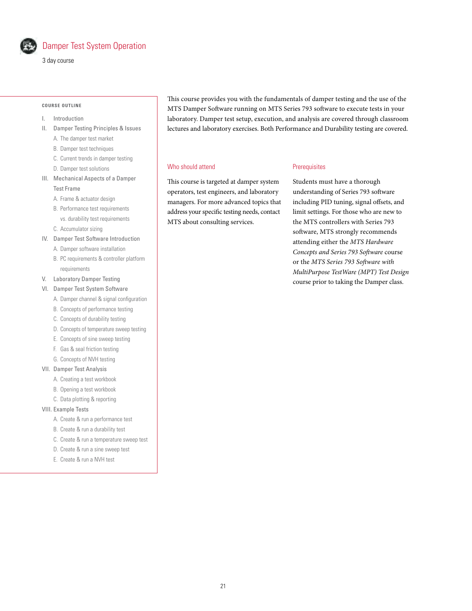

# Damper Test System Operation

3 day course

#### **COURSE OUTLINE**

- I. Introduction
- II. Damper Testing Principles & Issues
	- A. The damper test market
	- B. Damper test techniques
	- C. Current trends in damper testing
	- D. Damper test solutions
- III. Mechanical Aspects of a Damper Test Frame
	- A. Frame & actuator design
	- B. Performance test requirements vs. durability test requirements
	- C. Accumulator sizing
- IV. Damper Test Software Introduction
	- A. Damper software installation
	- B. PC requirements & controller platform requirements
- V. Laboratory Damper Testing
- VI. Damper Test System Software
	- A. Damper channel & signal configuration
	- B. Concepts of performance testing
	- C. Concepts of durability testing
	- D. Concepts of temperature sweep testing
	- E. Concepts of sine sweep testing
	- F. Gas & seal friction testing
	- G. Concepts of NVH testing

# VII. Damper Test Analysis

- A. Creating a test workbook
- B. Opening a test workbook
- C. Data plotting & reporting

### VIII. Example Tests

- A. Create & run a performance test
- B. Create & run a durability test
- C. Create & run a temperature sweep test
- D. Create & run a sine sweep test
- E. Create & run a NVH test

This course provides you with the fundamentals of damper testing and the use of the MTS Damper Software running on MTS Series 793 software to execute tests in your laboratory. Damper test setup, execution, and analysis are covered through classroom lectures and laboratory exercises. Both Performance and Durability testing are covered.

**Prerequisites** 

### Who should attend

This course is targeted at damper system operators, test engineers, and laboratory managers. For more advanced topics that address your specific testing needs, contact MTS about consulting services.

Students must have a thorough understanding of Series 793 software including PID tuning, signal offsets, and limit settings. For those who are new to the MTS controllers with Series 793 software, MTS strongly recommends attending either the *MTS Hardware Concepts and Series 793 Software* course or the *MTS Series 793 Software with MultiPurpose TestWare (MPT) Test Design* course prior to taking the Damper class.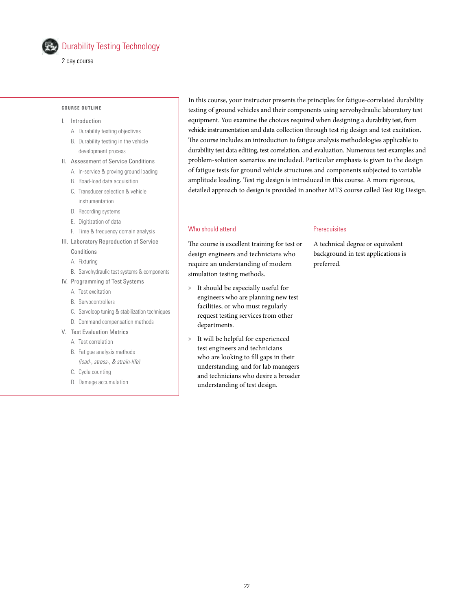

2 day course

#### **COURSE OUTLINE**

# I. Introduction

- A. Durability testing objectives
- B. Durability testing in the vehicle development process
- II. Assessment of Service Conditions
	- A. In-service & proving ground loading
	- B. Road-load data acquisition
	- C. Transducer selection & vehicle instrumentation
	- D. Recording systems
	- E. Digitization of data
	- F. Time & frequency domain analysis
- III. Laboratory Reproduction of Service
	- Conditions
	- A. Fixturing
	- B. Servohydraulic test systems & components
- IV. Programming of Test Systems
	- A. Test excitation
	- B. Servocontrollers
	- C. Servoloop tuning & stabilization techniques
	- D. Command compensation methods
- V. Test Evaluation Metrics
	- A. Test correlation
	- B. Fatigue analysis methods *(load-, stress-, & strain-life)*
	- C. Cycle counting
	- D. Damage accumulation

In this course, your instructor presents the principles for fatigue-correlated durability testing of ground vehicles and their components using servohydraulic laboratory test equipment. You examine the choices required when designing a durability test, from vehicle instrumentation and data collection through test rig design and test excitation. The course includes an introduction to fatigue analysis methodologies applicable to durability test data editing, test correlation, and evaluation. Numerous test examples and problem-solution scenarios are included. Particular emphasis is given to the design of fatigue tests for ground vehicle structures and components subjected to variable amplitude loading. Test rig design is introduced in this course. A more rigorous, detailed approach to design is provided in another MTS course called Test Rig Design.

# Who should attend

The course is excellent training for test or design engineers and technicians who require an understanding of modern simulation testing methods.

- » It should be especially useful for engineers who are planning new test facilities, or who must regularly request testing services from other departments.
- » It will be helpful for experienced test engineers and technicians who are looking to fill gaps in their understanding, and for lab managers and technicians who desire a broader understanding of test design.

### **Prerequisites**

A technical degree or equivalent background in test applications is preferred.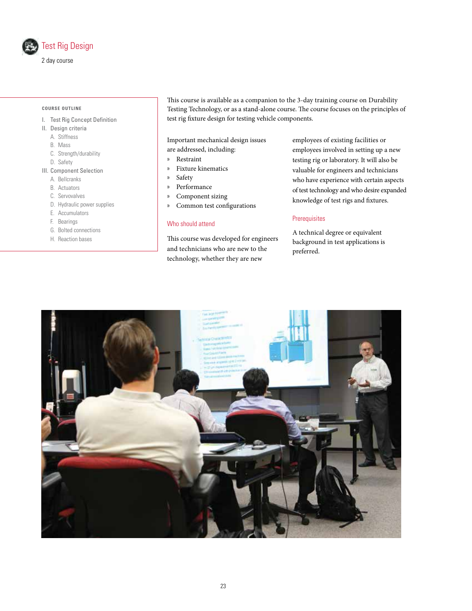

#### **COURSE OUTLINE**

- I. Test Rig Concept Definition
- II. Design criteria
	- A. Stiffness
	- B. Mass
	- C. Strength/durability
	- D. Safety
- III. Component Selection
	- A. Bellcranks
	- B. Actuators
	- C. Servovalves
	- D. Hydraulic power supplies
	- E. Accumulators
	- F. Bearings
	- G. Bolted connections
	- H. Reaction bases

This course is available as a companion to the 3-day training course on Durability Testing Technology, or as a stand-alone course. The course focuses on the principles of test rig fixture design for testing vehicle components.

Important mechanical design issues are addressed, including:

- » Restraint
- » Fixture kinematics
- » Safety
- » Performance
- » Component sizing
- » Common test configurations

#### Who should attend

This course was developed for engineers and technicians who are new to the technology, whether they are new

employees of existing facilities or employees involved in setting up a new testing rig or laboratory. It will also be valuable for engineers and technicians who have experience with certain aspects of test technology and who desire expanded knowledge of test rigs and fixtures.

# **Prerequisites**

A technical degree or equivalent background in test applications is preferred.

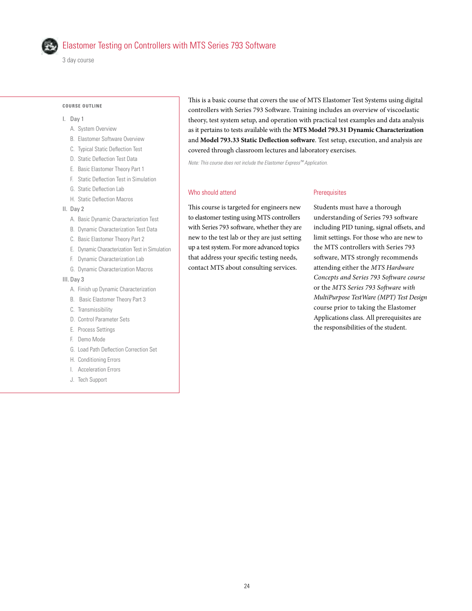

# Elastomer Testing on Controllers with MTS Series 793 Software

3 day course

#### **COURSE OUTLINE**

- I. Day 1
	- A. System Overview
	- B. Elastomer Software Overview
	- C. Typical Static Deflection Test
	- D. Static Deflection Test Data
	- E. Basic Elastomer Theory Part 1
	- F. Static Deflection Test in Simulation
	- G. Static Deflection Lab
	- H. Static Deflection Macros

II. Day 2

- A. Basic Dynamic Characterization Test
- B. Dynamic Characterization Test Data
- C. Basic Elastomer Theory Part 2
- E. Dynamic Characterization Test in Simulation
- F. Dynamic Characterization Lab
- G. Dynamic Characterization Macros
- III. Day 3
	- A. Finish up Dynamic Characterization
	- B. Basic Elastomer Theory Part 3
	- C. Transmissibility
	- D. Control Parameter Sets
	- E. Process Settings
	- F. Demo Mode
	- G. Load Path Deflection Correction Set
	- H. Conditioning Errors
	- I. Acceleration Errors
	- J. Tech Support

This is a basic course that covers the use of MTS Elastomer Test Systems using digital controllers with Series 793 Software. Training includes an overview of viscoelastic theory, test system setup, and operation with practical test examples and data analysis as it pertains to tests available with the **MTS Model 793.31 Dynamic Characterization**  and **Model 793.33 Static Deflection software**. Test setup, execution, and analysis are covered through classroom lectures and laboratory exercises.

*Note: This course does not include the Elastomer Express™ Application.*

#### Who should attend

**Prerequisites** 

This course is targeted for engineers new to elastomer testing using MTS controllers with Series 793 software, whether they are new to the test lab or they are just setting up a test system. For more advanced topics that address your specific testing needs, contact MTS about consulting services.

Students must have a thorough understanding of Series 793 software including PID tuning, signal offsets, and limit settings. For those who are new to the MTS controllers with Series 793 software, MTS strongly recommends attending either the *MTS Hardware Concepts and Series 793 Software course*  or the *MTS Series 793 Software with MultiPurpose TestWare (MPT) Test Design* course prior to taking the Elastomer Applications class. All prerequisites are the responsibilities of the student.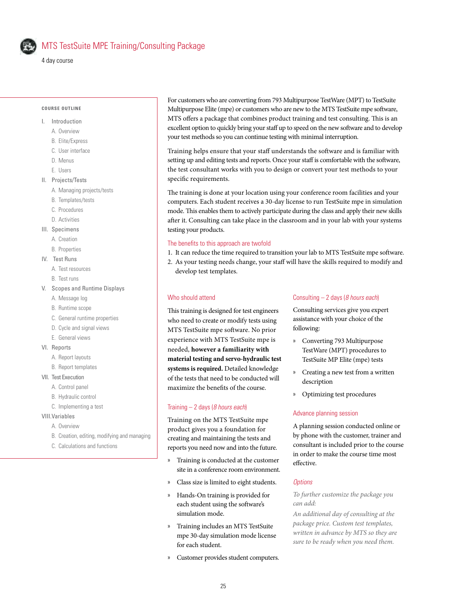

# MTS TestSuite MPE Training/Consulting Package

#### **COURSE OUTLINE**

- I. Introduction
	- A. Overview
	- B. Elite/Express
	- C. User interface
	- D. Menus
	- E. Users
- II. Projects/Tests
- A. Managing projects/tests
	-
	- B. Templates/tests
	- C. Procedures
	- D. Activities
- III. Specimens
	- A. Creation
	- B. Properties
- IV. Test Runs
	- A. Test resources
	- B. Test runs
- V. Scopes and Runtime Displays
	- A. Message log
	- B. Runtime scope
	- C. General runtime properties
	- D. Cycle and signal views
	- E. General views
- VI. Reports
	- A. Report layouts
	- B. Report templates
- VII. Test Execution
	- A. Control panel
	- B. Hydraulic control
	- C. Implementing a test

### VIII.Variables

- A. Overview
- B. Creation, editing, modifying and managing
- C. Calculations and functions

For customers who are converting from 793 Multipurpose TestWare (MPT) to TestSuite Multipurpose Elite (mpe) or customers who are new to the MTS TestSuite mpe software, MTS offers a package that combines product training and test consulting. This is an excellent option to quickly bring your staff up to speed on the new software and to develop your test methods so you can continue testing with minimal interruption.

Training helps ensure that your staff understands the software and is familiar with setting up and editing tests and reports. Once your staff is comfortable with the software, the test consultant works with you to design or convert your test methods to your specific requirements.

The training is done at your location using your conference room facilities and your computers. Each student receives a 30-day license to run TestSuite mpe in simulation mode. This enables them to actively participate during the class and apply their new skills after it. Consulting can take place in the classroom and in your lab with your systems testing your products.

# The benefits to this approach are twofold

- 1. It can reduce the time required to transition your lab to MTS TestSuite mpe software.
- 2. As your testing needs change, your staff will have the skills required to modify and develop test templates.

#### Who should attend

This training is designed for test engineers who need to create or modify tests using MTS TestSuite mpe software. No prior experience with MTS TestSuite mpe is needed, **however a familiarity with material testing and servo-hydraulic test systems is required.** Detailed knowledge of the tests that need to be conducted will maximize the benefits of the course.

#### Training – 2 days (*8 hours each*)

Training on the MTS TestSuite mpe product gives you a foundation for creating and maintaining the tests and reports you need now and into the future.

- » Training is conducted at the customer site in a conference room environment.
- » Class size is limited to eight students.
- » Hands-On training is provided for each student using the software's simulation mode.
- » Training includes an MTS TestSuite mpe 30-day simulation mode license for each student.
- » Customer provides student computers.

#### Consulting – 2 days (*8 hours each*)

Consulting services give you expert assistance with your choice of the following:

- » Converting 793 Multipurpose TestWare (MPT) procedures to TestSuite MP Elite (mpe) tests
- » Creating a new test from a written description
- » Optimizing test procedures

#### Advance planning session

A planning session conducted online or by phone with the customer, trainer and consultant is included prior to the course in order to make the course time most effective.

#### *Options*

*To further customize the package you can add:* 

*An additional day of consulting at the package price. Custom test templates, written in advance by MTS so they are sure to be ready when you need them.*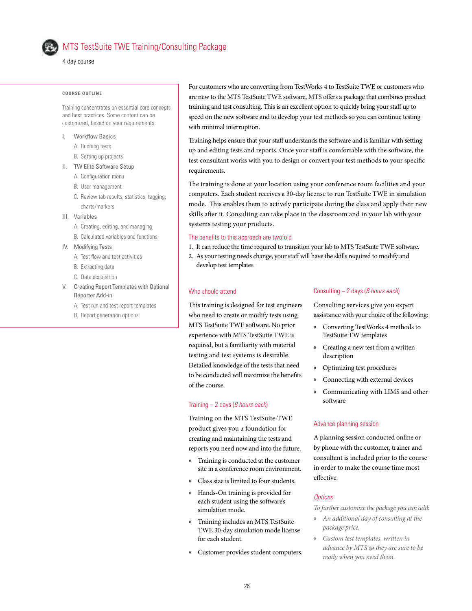

# MTS TestSuite TWE Training/Consulting Package

4 day course

#### **COURSE OUTLINE**

Training concentrates on essential core concepts and best practices. Some content can be customized, based on your requirements.

- I. Workflow Basics
	- A. Running tests
	- B. Setting up projects
- II. TW Elite Software Setup
	- A. Configuration menu
	- B. User management
	- C. Review tab results, statistics, tagging, charts/markers
- III. Variables
	- A. Creating, editing, and managing
	- B. Calculated variables and functions
- IV. Modifying Tests
	- A. Test flow and test activities
	- B. Extracting data
	- C. Data acquisition
- V. Creating Report Templates with Optional Reporter Add-in
	- A. Test run and test report templates
	- B. Report generation options

For customers who are converting from TestWorks 4 to TestSuite TWE or customers who are new to the MTS TestSuite TWE software, MTS offers a package that combines product training and test consulting. This is an excellent option to quickly bring your staff up to speed on the new software and to develop your test methods so you can continue testing with minimal interruption.

Training helps ensure that your staff understands the software and is familiar with setting up and editing tests and reports. Once your staff is comfortable with the software, the test consultant works with you to design or convert your test methods to your specific requirements.

The training is done at your location using your conference room facilities and your computers. Each student receives a 30-day license to run TestSuite TWE in simulation mode. This enables them to actively participate during the class and apply their new skills after it. Consulting can take place in the classroom and in your lab with your systems testing your products.

#### The benefits to this approach are twofold

- 1. It can reduce the time required to transition your lab to MTS TestSuite TWE software.
- 2. As your testing needs change, your staff will have the skills required to modify and develop test templates.

#### Who should attend

This training is designed for test engineers who need to create or modify tests using MTS TestSuite TWE software. No prior experience with MTS TestSuite TWE is required, but a familiarity with material testing and test systems is desirable. Detailed knowledge of the tests that need to be conducted will maximize the benefits of the course.

#### Training – 2 days (*8 hours each*)

Training on the MTS TestSuite TWE product gives you a foundation for creating and maintaining the tests and reports you need now and into the future.

- » Training is conducted at the customer site in a conference room environment.
- » Class size is limited to four students.
- » Hands-On training is provided for each student using the software's simulation mode.
- » Training includes an MTS TestSuite TWE 30-day simulation mode license for each student.
- » Customer provides student computers.

### Consulting – 2 days (*8 hours each*)

Consulting services give you expert assistance with your choice of the following:

- » Converting TestWorks 4 methods to TestSuite TW templates
- » Creating a new test from a written description
- » Optimizing test procedures
- » Connecting with external devices
- » Communicating with LIMS and other software

### Advance planning session

A planning session conducted online or by phone with the customer, trainer and consultant is included prior to the course in order to make the course time most effective.

# *Options*

*To further customize the package you can add:*

- » *An additional day of consulting at the package price.*
- » *Custom test templates, written in advance by MTS so they are sure to be ready when you need them.*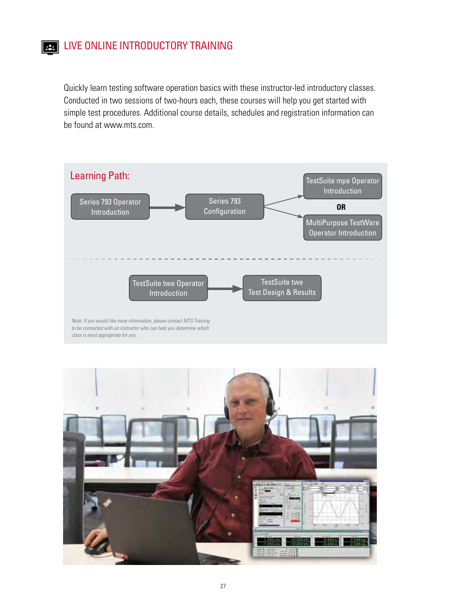Quickly learn testing software operation basics with these instructor-led introductory classes. Conducted in two sessions of two-hours each, these courses will help you get started with simple test procedures. Additional course details, schedules and registration information can be found at www.mts.com.





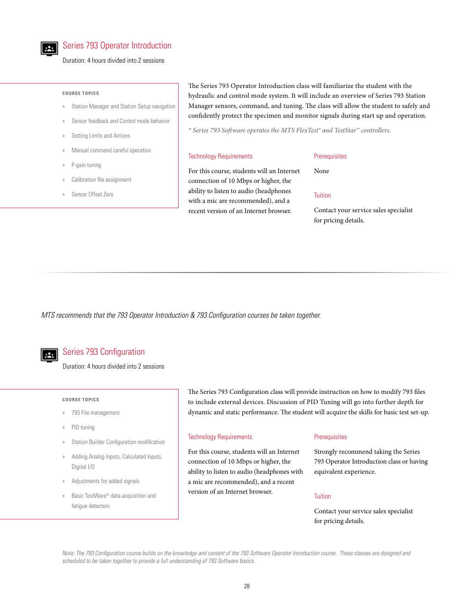

# Series 793 Operator Introduction

Duration: 4 hours divided into 2 sessions

#### **COURSE TOPICS**

- » Station Manager and Station Setup navigation
- » Sensor feedback and Control mode behavior
- Setting Limits and Actions
- » Manual command careful operation
- » P-gain tuning
- Calibration file assignment
- » Sensor Offset Zero

The Series 793 Operator Introduction class will familiarize the student with the hydraulic and control mode system. It will include an overview of Series 793 Station Manager sensors, command, and tuning. The class will allow the student to safely and confidently protect the specimen and monitor signals during start up and operation.

*\* Series 793 Software operates the MTS FlexTest® and TestStar™ controllers.*

#### Technology Requirements

#### **Prerequisites**

For this course, students will an Internet

connection of 10 Mbps or higher, the ability to listen to audio (headphones with a mic are recommended), and a recent version of an Internet browser.

**Tuition** 

None

Contact your service sales specialist for pricing details.

*MTS recommends that the 793 Operator Introduction & 793 Configuration courses be taken together.*



# Series 793 Configuration

Duration: 4 hours divided into 2 sessions

#### **COURSE TOPICS**

- » 793 File management
- PID tuning
- Station Builder Configuration modification
- » Adding Analog Inputs, Calculated Inputs, Digital I/O
- Adjustments for added signals
- » Basic TestWare® data acquisition and fatigue detectors

The Series 793 Configuration class will provide instruction on how to modify 793 files to include external devices. Discussion of PID Tuning will go into further depth for dynamic and static performance. The student will acquire the skills for basic test set-up.

### Technology Requirements

For this course, students will an Internet connection of 10 Mbps or higher, the ability to listen to audio (headphones with a mic are recommended), and a recent version of an Internet browser.

### **Prerequisites**

Strongly recommend taking the Series 793 Operator Introduction class or having equivalent experience.

# **Tuition**

Contact your service sales specialist for pricing details.

*Note: The 793 Configuration course builds on the knowledge and content of the 793 Software Operator Introduction course. These classes are designed and scheduled to be taken together to provide a full understanding of 793 Software basics.*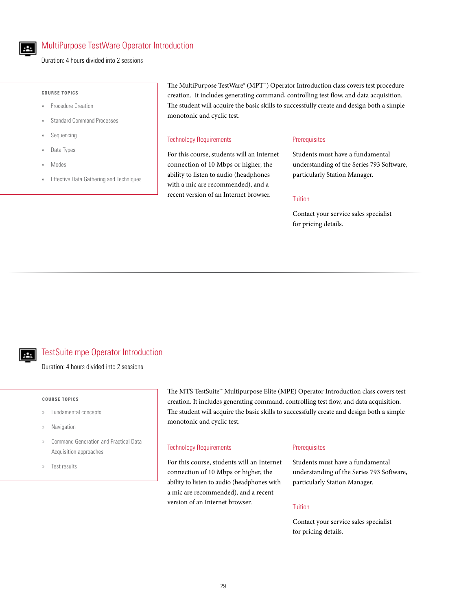

# MultiPurpose TestWare Operator Introduction

Duration: 4 hours divided into 2 sessions

#### **COURSE TOPICS**

- » Procedure Creation
- » Standard Command Processes
- **Sequencing**
- » Data Types
- » Modes
- » Effective Data Gathering and Techniques

The MultiPurpose TestWare® (MPT™) Operator Introduction class covers test procedure creation. It includes generating command, controlling test flow, and data acquisition. The student will acquire the basic skills to successfully create and design both a simple monotonic and cyclic test.

#### Technology Requirements

For this course, students will an Internet connection of 10 Mbps or higher, the ability to listen to audio (headphones with a mic are recommended), and a recent version of an Internet browser.

### **Prerequisites**

Students must have a fundamental understanding of the Series 793 Software, particularly Station Manager.

#### Tuition

Contact your service sales specialist for pricing details.

# TestSuite mpe Operator Introduction

Duration: 4 hours divided into 2 sessions

#### **COURSE TOPICS**

- » Fundamental concepts
- **Navigation**
- » Command Generation and Practical Data Acquisition approaches
- » Test results

The MTS TestSuite™ Multipurpose Elite (MPE) Operator Introduction class covers test creation. It includes generating command, controlling test flow, and data acquisition. The student will acquire the basic skills to successfully create and design both a simple monotonic and cyclic test.

#### Technology Requirements

For this course, students will an Internet connection of 10 Mbps or higher, the ability to listen to audio (headphones with a mic are recommended), and a recent version of an Internet browser.

#### **Prerequisites**

Students must have a fundamental understanding of the Series 793 Software, particularly Station Manager.

#### Tuition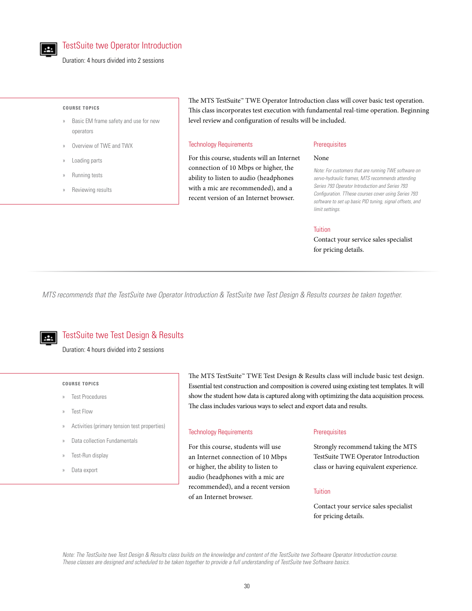

Duration: 4 hours divided into 2 sessions

#### **COURSE TOPICS**

- » Basic EM frame safety and use for new operators
- » Overview of TWE and TWX
- » Loading parts
- » Running tests
- » Reviewing results

The MTS TestSuite™ TWE Operator Introduction class will cover basic test operation. This class incorporates test execution with fundamental real-time operation. Beginning level review and configuration of results will be included.

#### Technology Requirements

For this course, students will an Internet connection of 10 Mbps or higher, the ability to listen to audio (headphones with a mic are recommended), and a recent version of an Internet browser.

#### **Prerequisites**

### None

*Note: For customers that are running TWE software on servo-hydraulic frames, MTS recommends attending Series 793 Operator Introduction and Series 793 Configuration. TThese courses cover using Series 793 software to set up basic PID tuning, signal offsets, and limit settings.*

#### **Tuition**

Contact your service sales specialist for pricing details.

*MTS recommends that the TestSuite twe Operator Introduction & TestSuite twe Test Design & Results courses be taken together.*

# TestSuite twe Test Design & Results

Duration: 4 hours divided into 2 sessions

#### **COURSE TOPICS**

- » Test Procedures
- » Test Flow
- » Activities (primary tension test properties)
- » Data collection Fundamentals
- » Test-Run display
- » Data export

The MTS TestSuite™ TWE Test Design & Results class will include basic test design. Essential test construction and composition is covered using existing test templates. It will show the student how data is captured along with optimizing the data acquisition process. The class includes various ways to select and export data and results.

# Technology Requirements

For this course, students will use an Internet connection of 10 Mbps or higher, the ability to listen to audio (headphones with a mic are recommended), and a recent version of an Internet browser.

# **Prerequisites**

Strongly recommend taking the MTS TestSuite TWE Operator Introduction class or having equivalent experience.

### Tuition

Contact your service sales specialist for pricing details.

*Note: The TestSuite twe Test Design & Results class builds on the knowledge and content of the TestSuite twe Software Operator Introduction course. These classes are designed and scheduled to be taken together to provide a full understanding of TestSuite twe Software basics.*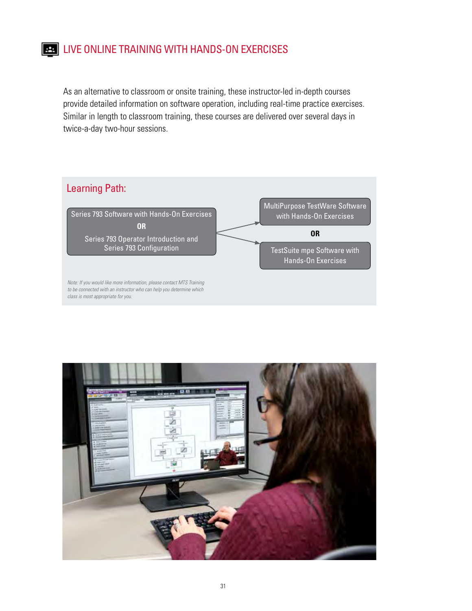# **EX.** LIVE ONLINE TRAINING WITH HANDS-ON EXERCISES

As an alternative to classroom or onsite training, these instructor-led in-depth courses provide detailed information on software operation, including real-time practice exercises. Similar in length to classroom training, these courses are delivered over several days in twice-a-day two-hour sessions.



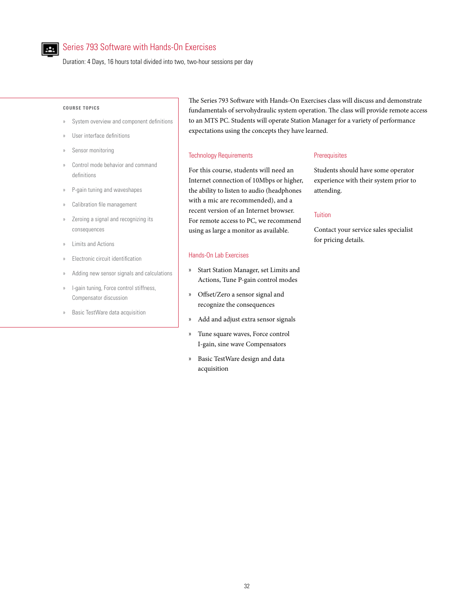

# Series 793 Software with Hands-On Exercises

Duration: 4 Days, 16 hours total divided into two, two-hour sessions per day

#### **COURSE TOPICS**

- » System overview and component definitions
- User interface definitions
- Sensor monitoring
- Control mode behavior and command definitions
- » P-gain tuning and waveshapes
- Calibration file management
- » Zeroing a signal and recognizing its consequences
- » Limits and Actions
- » Electronic circuit identification
- » Adding new sensor signals and calculations
- » I-gain tuning, Force control stiffness, Compensator discussion
- » Basic TestWare data acquisition

The Series 793 Software with Hands-On Exercises class will discuss and demonstrate fundamentals of servohydraulic system operation. The class will provide remote access to an MTS PC. Students will operate Station Manager for a variety of performance expectations using the concepts they have learned.

#### Technology Requirements

# For this course, students will need an Internet connection of 10Mbps or higher, the ability to listen to audio (headphones with a mic are recommended), and a recent version of an Internet browser. For remote access to PC, we recommend using as large a monitor as available.

# Hands-On Lab Exercises

- » Start Station Manager, set Limits and Actions, Tune P-gain control modes
- » Offset/Zero a sensor signal and recognize the consequences
- » Add and adjust extra sensor signals
- » Tune square waves, Force control I-gain, sine wave Compensators
- » Basic TestWare design and data acquisition

# **Prerequisites**

Students should have some operator experience with their system prior to attending.

#### **Tuition**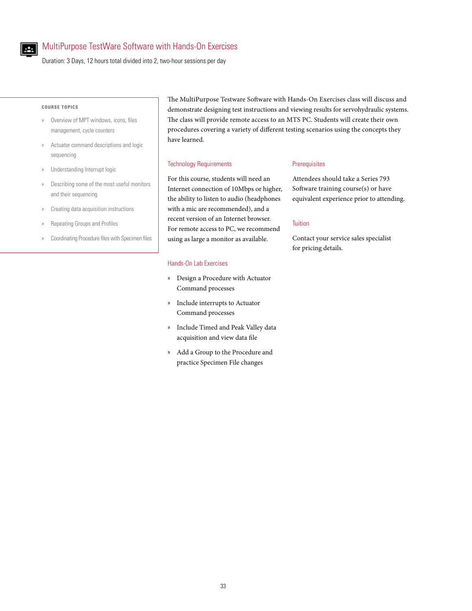

# MultiPurpose TestWare Software with Hands-On Exercises

Duration: 3 Days, 12 hours total divided into 2, two-hour sessions per day

#### **COURSE TOPICS**

- » Overview of MPT windows, icons, files management, cycle counters
- » Actuator command descriptions and logic sequencing
- » Understanding Interrupt logic
- » Describing some of the most useful monitors and their sequencing
- » Creating data acquisition instructions
- » Repeating Groups and Profiles
- » Coordinating Procedure files with Specimen files

The MultiPurpose Testware Software with Hands-On Exercises class will discuss and demonstrate designing test instructions and viewing results for servohydraulic systems. The class will provide remote access to an MTS PC. Students will create their own procedures covering a variety of different testing scenarios using the concepts they have learned.

#### Technology Requirements

For this course, students will need an Internet connection of 10Mbps or higher, the ability to listen to audio (headphones with a mic are recommended), and a recent version of an Internet browser. For remote access to PC, we recommend using as large a monitor as available.

# Hands-On Lab Exercises

- » Design a Procedure with Actuator Command processes
- » Include interrupts to Actuator Command processes
- » Include Timed and Peak Valley data acquisition and view data file
- » Add a Group to the Procedure and practice Specimen File changes

#### **Prerequisites**

Attendees should take a Series 793 Software training course(s) or have equivalent experience prior to attending.

### **Tuition**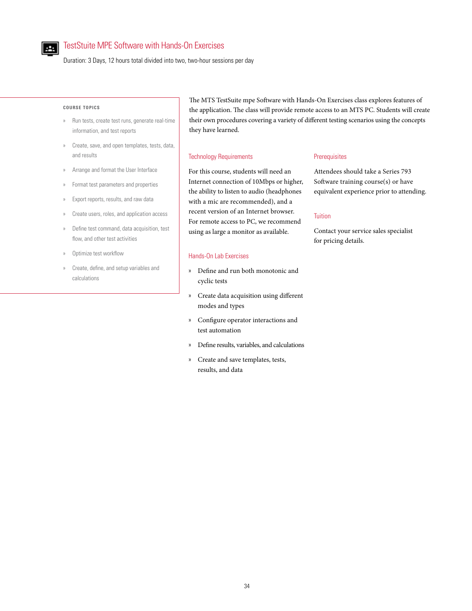

# TestStuite MPE Software with Hands-On Exercises

Duration: 3 Days, 12 hours total divided into two, two-hour sessions per day

#### **COURSE TOPICS**

- » Run tests, create test runs, generate real-time information, and test reports
- » Create, save, and open templates, tests, data, and results
- » Arrange and format the User Interface
- » Format test parameters and properties
- » Export reports, results, and raw data
- » Create users, roles, and application access
- » Define test command, data acquisition, test flow, and other test activities
- Optimize test workflow
- » Create, define, and setup variables and calculations

The MTS TestSuite mpe Software with Hands-On Exercises class explores features of the application. The class will provide remote access to an MTS PC. Students will create their own procedures covering a variety of different testing scenarios using the concepts they have learned.

#### Technology Requirements

For this course, students will need an Internet connection of 10Mbps or higher, the ability to listen to audio (headphones with a mic are recommended), and a recent version of an Internet browser. For remote access to PC, we recommend using as large a monitor as available.

# Hands-On Lab Exercises

- » Define and run both monotonic and cyclic tests
- » Create data acquisition using different modes and types
- » Configure operator interactions and test automation
- » Define results, variables, and calculations
- » Create and save templates, tests, results, and data

# **Prerequisites**

Attendees should take a Series 793 Software training course(s) or have equivalent experience prior to attending.

# **Tuition**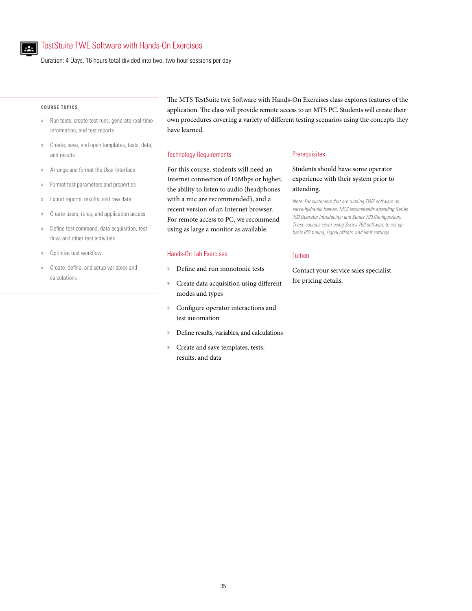

# TestStuite TWE Software with Hands-On Exercises

Duration: 4 Days, 16 hours total divided into two, two-hour sessions per day

#### **COURSE TOPICS**

- » Run tests, create test runs, generate real-time information, and test reports
- » Create, save, and open templates, tests, data, and results
- » Arrange and format the User Interface
- » Format test parameters and properties
- » Export reports, results, and raw data
- » Create users, roles, and application access
- » Define test command, data acquisition, test flow, and other test activities
- » Optimize test workflow
- » Create, define, and setup variables and calculations

The MTS TestSuite twe Software with Hands-On Exercises class explores features of the application. The class will provide remote access to an MTS PC. Students will create their own procedures covering a variety of different testing scenarios using the concepts they have learned.

#### Technology Requirements

For this course, students will need an Internet connection of 10Mbps or higher, the ability to listen to audio (headphones with a mic are recommended), and a recent version of an Internet browser. For remote access to PC, we recommend using as large a monitor as available.

# Hands-On Lab Exercises

- » Define and run monotonic tests
- » Create data acquisition using different modes and types
- » Configure operator interactions and test automation
- » Define results, variables, and calculations
- » Create and save templates, tests, results, and data

#### **Prerequisites**

# Students should have some operator experience with their system prior to attending.

*Note: For customers that are running TWE software on servo-hydraulic frames, MTS recommends attending Series 793 Operator Introduction and Series 793 Configuration. These courses cover using Series 793 software to set up basic PID tuning, signal offsets, and limit settings*

## **Tuition**